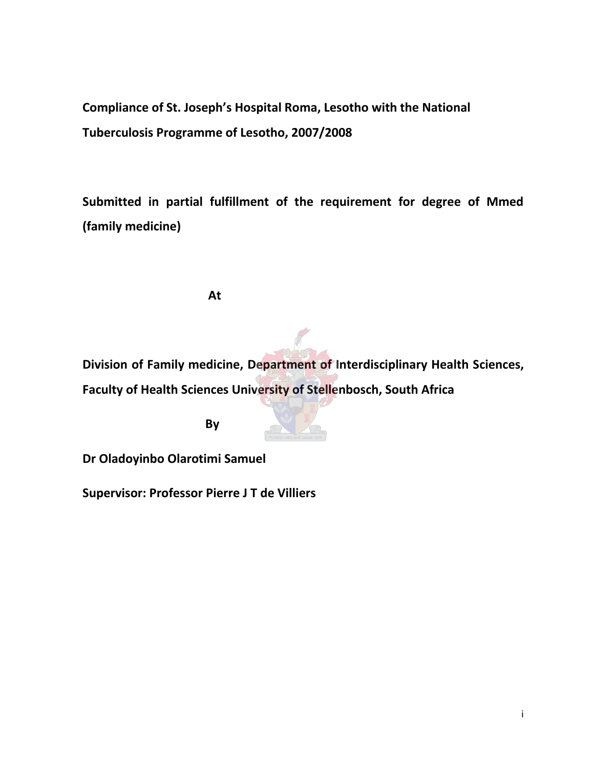**Compliance of St. Joseph's Hospital Roma, Lesotho with the National Tuberculosis Programme of Lesotho, 2007/2008** 

**Submitted in partial fulfillment of the requirement for degree of Mmed (family medicine)** 

**At**

**Division of Family medicine, Department of Interdisciplinary Health Sciences, Faculty of Health Sciences University of Stellenbosch, South Africa** 

**By**



**Dr Oladoyinbo Olarotimi Samuel** 

**Supervisor: Professor Pierre J T de Villiers**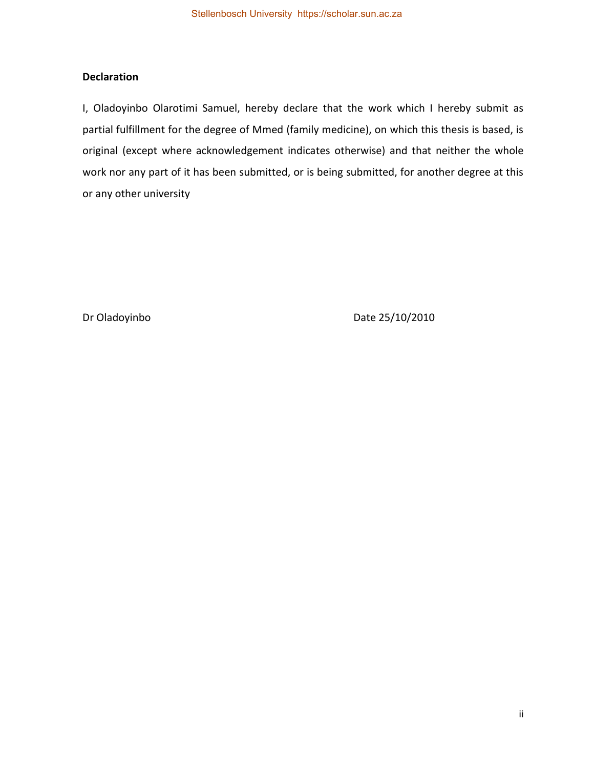# **Declaration**

I, Oladoyinbo Olarotimi Samuel, hereby declare that the work which I hereby submit as partial fulfillment for the degree of Mmed (family medicine), on which this thesis is based, is original (except where acknowledgement indicates otherwise) and that neither the whole work nor any part of it has been submitted, or is being submitted, for another degree at this or any other university

Dr Oladoyinbo **Date 25/10/2010**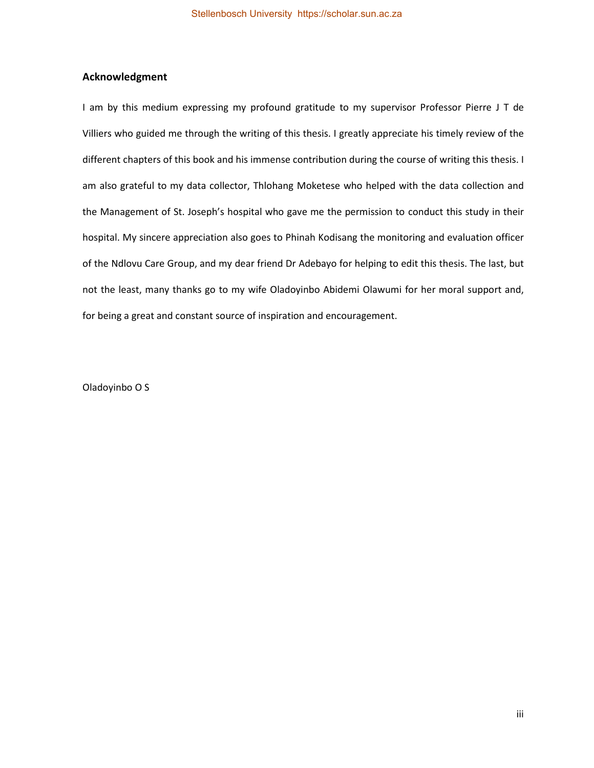### **Acknowledgment**

I am by this medium expressing my profound gratitude to my supervisor Professor Pierre J T de Villiers who guided me through the writing of this thesis. I greatly appreciate his timely review of the different chapters of this book and his immense contribution during the course of writing this thesis. I am also grateful to my data collector, Thlohang Moketese who helped with the data collection and the Management of St. Joseph's hospital who gave me the permission to conduct this study in their hospital. My sincere appreciation also goes to Phinah Kodisang the monitoring and evaluation officer of the Ndlovu Care Group, and my dear friend Dr Adebayo for helping to edit this thesis. The last, but not the least, many thanks go to my wife Oladoyinbo Abidemi Olawumi for her moral support and, for being a great and constant source of inspiration and encouragement.

Oladoyinbo O S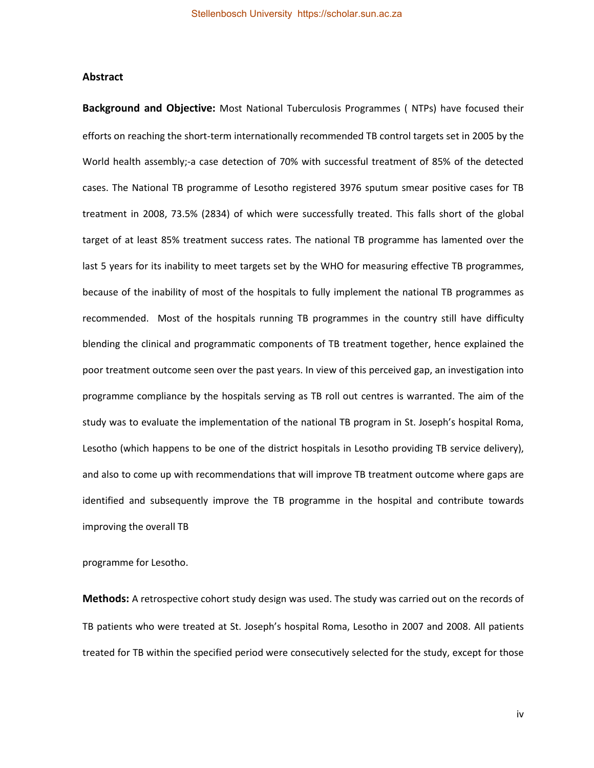#### **Abstract**

**Background and Objective:** Most National Tuberculosis Programmes ( NTPs) have focused their efforts on reaching the short-term internationally recommended TB control targets set in 2005 by the World health assembly;-a case detection of 70% with successful treatment of 85% of the detected cases. The National TB programme of Lesotho registered 3976 sputum smear positive cases for TB treatment in 2008, 73.5% (2834) of which were successfully treated. This falls short of the global target of at least 85% treatment success rates. The national TB programme has lamented over the last 5 years for its inability to meet targets set by the WHO for measuring effective TB programmes, because of the inability of most of the hospitals to fully implement the national TB programmes as recommended. Most of the hospitals running TB programmes in the country still have difficulty blending the clinical and programmatic components of TB treatment together, hence explained the poor treatment outcome seen over the past years. In view of this perceived gap, an investigation into programme compliance by the hospitals serving as TB roll out centres is warranted. The aim of the study was to evaluate the implementation of the national TB program in St. Joseph's hospital Roma, Lesotho (which happens to be one of the district hospitals in Lesotho providing TB service delivery), and also to come up with recommendations that will improve TB treatment outcome where gaps are identified and subsequently improve the TB programme in the hospital and contribute towards improving the overall TB

programme for Lesotho.

**Methods:** A retrospective cohort study design was used. The study was carried out on the records of TB patients who were treated at St. Joseph's hospital Roma, Lesotho in 2007 and 2008. All patients treated for TB within the specified period were consecutively selected for the study, except for those

iv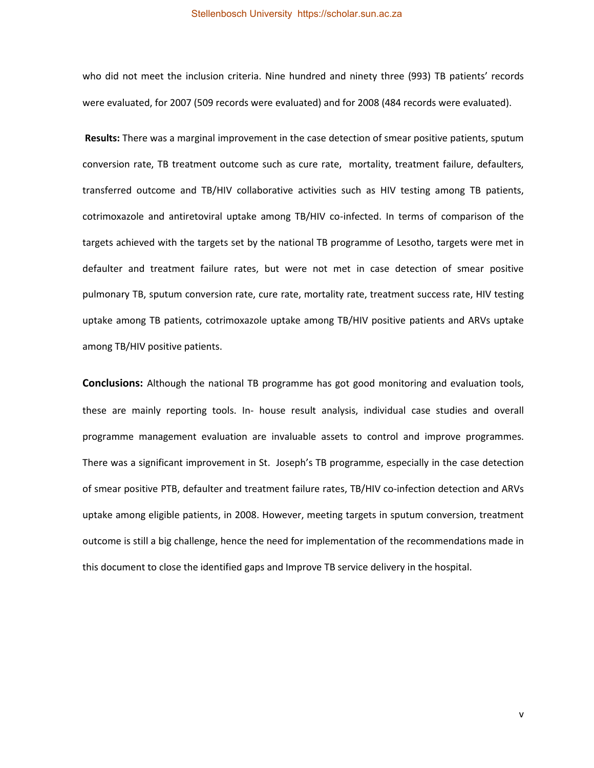#### Stellenbosch University https://scholar.sun.ac.za

who did not meet the inclusion criteria. Nine hundred and ninety three (993) TB patients' records were evaluated, for 2007 (509 records were evaluated) and for 2008 (484 records were evaluated).

**Results:** There was a marginal improvement in the case detection of smear positive patients, sputum conversion rate, TB treatment outcome such as cure rate, mortality, treatment failure, defaulters, transferred outcome and TB/HIV collaborative activities such as HIV testing among TB patients, cotrimoxazole and antiretoviral uptake among TB/HIV co-infected. In terms of comparison of the targets achieved with the targets set by the national TB programme of Lesotho, targets were met in defaulter and treatment failure rates, but were not met in case detection of smear positive pulmonary TB, sputum conversion rate, cure rate, mortality rate, treatment success rate, HIV testing uptake among TB patients, cotrimoxazole uptake among TB/HIV positive patients and ARVs uptake among TB/HIV positive patients.

**Conclusions:** Although the national TB programme has got good monitoring and evaluation tools, these are mainly reporting tools. In- house result analysis, individual case studies and overall programme management evaluation are invaluable assets to control and improve programmes. There was a significant improvement in St. Joseph's TB programme, especially in the case detection of smear positive PTB, defaulter and treatment failure rates, TB/HIV co-infection detection and ARVs uptake among eligible patients, in 2008. However, meeting targets in sputum conversion, treatment outcome is still a big challenge, hence the need for implementation of the recommendations made in this document to close the identified gaps and Improve TB service delivery in the hospital.

v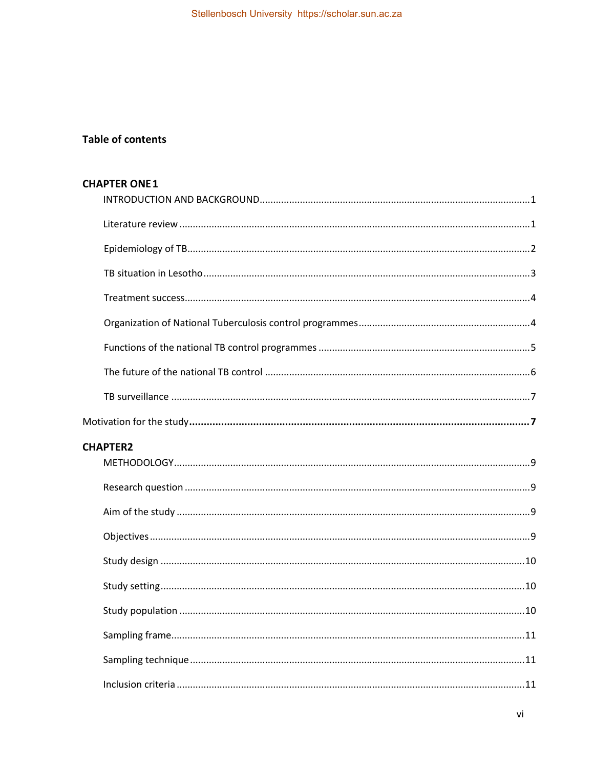# **Table of contents**

| <b>CHAPTER ONE 1</b> |
|----------------------|
|                      |
|                      |
|                      |
|                      |
|                      |
|                      |
|                      |
|                      |
|                      |
|                      |
| <b>CHAPTER2</b>      |
|                      |
|                      |
|                      |
|                      |
|                      |
|                      |
| 10                   |
|                      |
|                      |
|                      |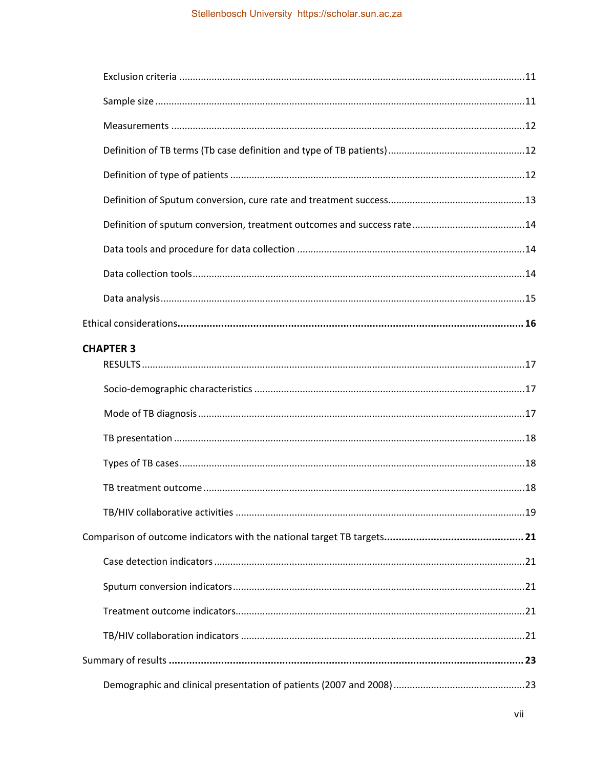| <b>CHAPTER 3</b> |
|------------------|
|                  |
|                  |
|                  |
|                  |
|                  |
|                  |
|                  |
|                  |
|                  |
|                  |
|                  |
|                  |
|                  |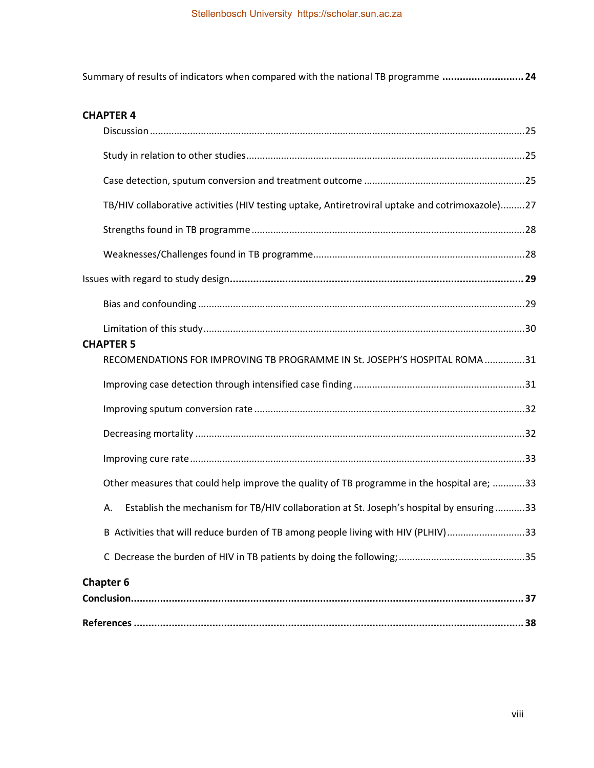[Summary of results of indicators when compared with the national TB programme](#page-32-0) **............................ 24**

# **[CHAPTER 4](#page-32-1)**

| TB/HIV collaborative activities (HIV testing uptake, Antiretroviral uptake and cotrimoxazole)27 |  |
|-------------------------------------------------------------------------------------------------|--|
|                                                                                                 |  |
|                                                                                                 |  |
|                                                                                                 |  |
|                                                                                                 |  |
|                                                                                                 |  |
| <b>CHAPTER 5</b><br>RECOMENDATIONS FOR IMPROVING TB PROGRAMME IN St. JOSEPH'S HOSPITAL ROMA31   |  |
|                                                                                                 |  |
|                                                                                                 |  |
|                                                                                                 |  |
|                                                                                                 |  |
|                                                                                                 |  |
| Other measures that could help improve the quality of TB programme in the hospital are; 33      |  |
| Establish the mechanism for TB/HIV collaboration at St. Joseph's hospital by ensuring33<br>А.   |  |
| B Activities that will reduce burden of TB among people living with HIV (PLHIV)33               |  |
|                                                                                                 |  |
| <b>Chapter 6</b>                                                                                |  |
|                                                                                                 |  |
|                                                                                                 |  |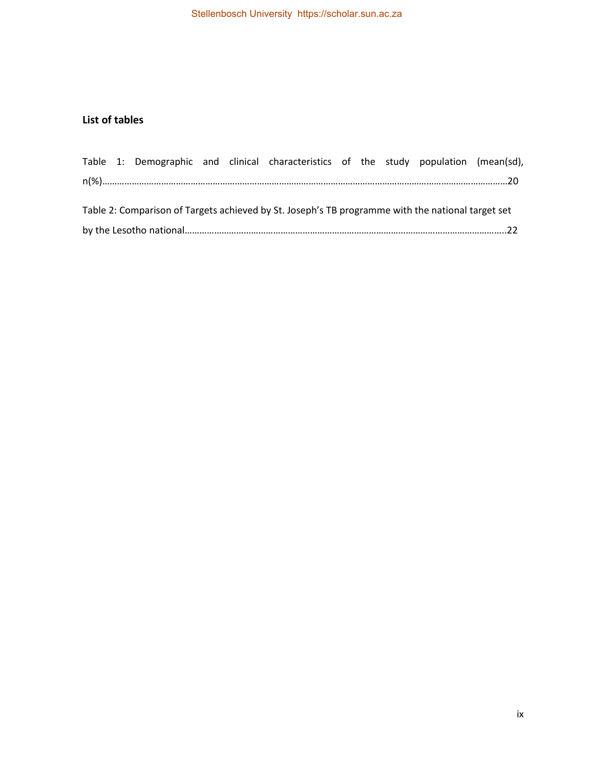# **List of tables**

|                                                                                                   |  |  |  |  | Table 1: Demographic and clinical characteristics of the study population (mean(sd), |  |  |  |  |  |
|---------------------------------------------------------------------------------------------------|--|--|--|--|--------------------------------------------------------------------------------------|--|--|--|--|--|
|                                                                                                   |  |  |  |  |                                                                                      |  |  |  |  |  |
|                                                                                                   |  |  |  |  |                                                                                      |  |  |  |  |  |
| Table 2: Comparison of Targets achieved by St. Joseph's TB programme with the national target set |  |  |  |  |                                                                                      |  |  |  |  |  |
|                                                                                                   |  |  |  |  |                                                                                      |  |  |  |  |  |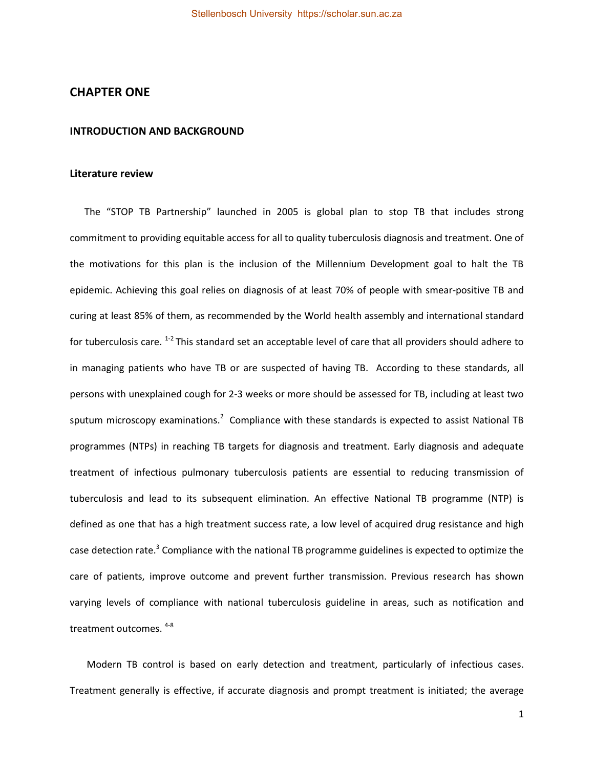### <span id="page-9-0"></span>**CHAPTER ONE**

#### <span id="page-9-1"></span>**INTRODUCTION AND BACKGROUND**

#### <span id="page-9-2"></span>**Literature review**

 The "STOP TB Partnership" launched in 2005 is global plan to stop TB that includes strong commitment to providing equitable access for all to quality tuberculosis diagnosis and treatment. One of the motivations for this plan is the inclusion of the Millennium Development goal to halt the TB epidemic. Achieving this goal relies on diagnosis of at least 70% of people with smear-positive TB and curing at least 85% of them, as recommended by the World health assembly and international standard for tuberculosis care. <sup>1-2</sup> This standard set an acceptable level of care that all providers should adhere to in managing patients who have TB or are suspected of having TB. According to these standards, all persons with unexplained cough for 2-3 weeks or more should be assessed for TB, including at least two sputum microscopy examinations.<sup>2</sup> Compliance with these standards is expected to assist National TB programmes (NTPs) in reaching TB targets for diagnosis and treatment. Early diagnosis and adequate treatment of infectious pulmonary tuberculosis patients are essential to reducing transmission of tuberculosis and lead to its subsequent elimination. An effective National TB programme (NTP) is defined as one that has a high treatment success rate, a low level of acquired drug resistance and high case detection rate.<sup>3</sup> Compliance with the national TB programme guidelines is expected to optimize the care of patients, improve outcome and prevent further transmission. Previous research has shown varying levels of compliance with national tuberculosis guideline in areas, such as notification and treatment outcomes. 4-8

 Modern TB control is based on early detection and treatment, particularly of infectious cases. Treatment generally is effective, if accurate diagnosis and prompt treatment is initiated; the average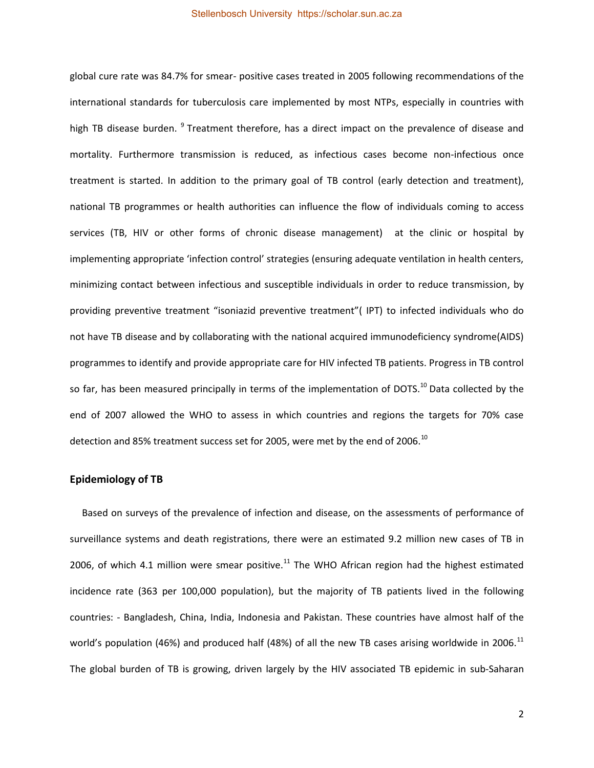global cure rate was 84.7% for smear- positive cases treated in 2005 following recommendations of the international standards for tuberculosis care implemented by most NTPs, especially in countries with high TB disease burden. <sup>9</sup> Treatment therefore, has a direct impact on the prevalence of disease and mortality. Furthermore transmission is reduced, as infectious cases become non-infectious once treatment is started. In addition to the primary goal of TB control (early detection and treatment), national TB programmes or health authorities can influence the flow of individuals coming to access services (TB, HIV or other forms of chronic disease management) at the clinic or hospital by implementing appropriate 'infection control' strategies (ensuring adequate ventilation in health centers, minimizing contact between infectious and susceptible individuals in order to reduce transmission, by providing preventive treatment "isoniazid preventive treatment"( IPT) to infected individuals who do not have TB disease and by collaborating with the national acquired immunodeficiency syndrome(AIDS) programmes to identify and provide appropriate care for HIV infected TB patients. Progress in TB control so far, has been measured principally in terms of the implementation of DOTS.<sup>10</sup> Data collected by the end of 2007 allowed the WHO to assess in which countries and regions the targets for 70% case detection and 85% treatment success set for 2005, were met by the end of 2006. $^{10}$ 

### <span id="page-10-0"></span>**Epidemiology of TB**

 Based on surveys of the prevalence of infection and disease, on the assessments of performance of surveillance systems and death registrations, there were an estimated 9.2 million new cases of TB in 2006, of which 4.1 million were smear positive.<sup>11</sup> The WHO African region had the highest estimated incidence rate (363 per 100,000 population), but the majority of TB patients lived in the following countries: - Bangladesh, China, India, Indonesia and Pakistan. These countries have almost half of the world's population (46%) and produced half (48%) of all the new TB cases arising worldwide in 2006.<sup>11</sup> The global burden of TB is growing, driven largely by the HIV associated TB epidemic in sub-Saharan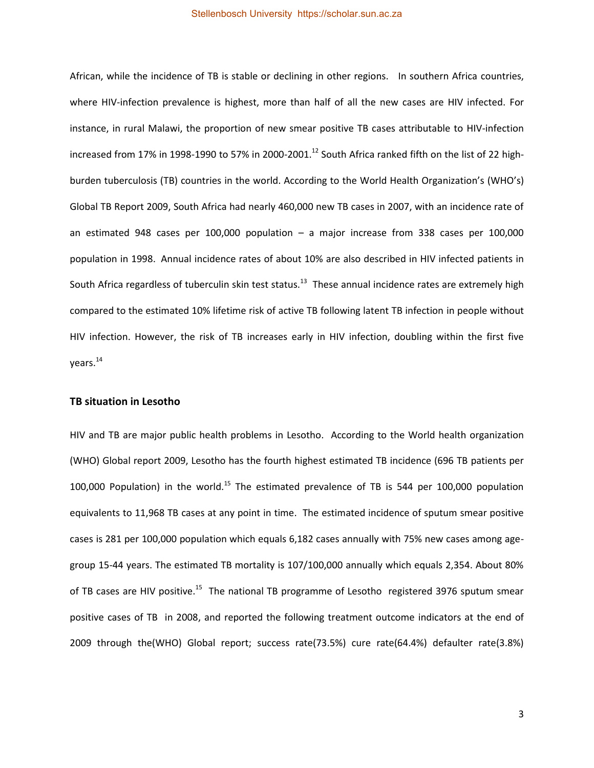African, while the incidence of TB is stable or declining in other regions. In southern Africa countries, where HIV-infection prevalence is highest, more than half of all the new cases are HIV infected. For instance, in rural Malawi, the proportion of new smear positive TB cases attributable to HIV-infection increased from 17% in 1998-1990 to 57% in 2000-2001.<sup>12</sup> South Africa ranked fifth on the list of 22 highburden tuberculosis (TB) countries in the world. According to the World Health Organization's (WHO's) Global TB Report 2009, South Africa had nearly 460,000 new TB cases in 2007, with an incidence rate of an estimated 948 cases per 100,000 population – a major increase from 338 cases per 100,000 population in 1998. Annual incidence rates of about 10% are also described in HIV infected patients in South Africa regardless of tuberculin skin test status.<sup>13</sup> These annual incidence rates are extremely high compared to the estimated 10% lifetime risk of active TB following latent TB infection in people without HIV infection. However, the risk of TB increases early in HIV infection, doubling within the first five years.<sup>14</sup>

#### <span id="page-11-0"></span>**TB situation in Lesotho**

HIV and TB are major public health problems in Lesotho. According to the World health organization (WHO) Global report 2009, Lesotho has the fourth highest estimated TB incidence (696 TB patients per 100,000 Population) in the world.<sup>15</sup> The estimated prevalence of TB is 544 per 100,000 population equivalents to 11,968 TB cases at any point in time. The estimated incidence of sputum smear positive cases is 281 per 100,000 population which equals 6,182 cases annually with 75% new cases among agegroup 15-44 years. The estimated TB mortality is 107/100,000 annually which equals 2,354. About 80% of TB cases are HIV positive.<sup>15</sup> The national TB programme of Lesotho registered 3976 sputum smear positive cases of TB in 2008, and reported the following treatment outcome indicators at the end of 2009 through the(WHO) Global report; success rate(73.5%) cure rate(64.4%) defaulter rate(3.8%)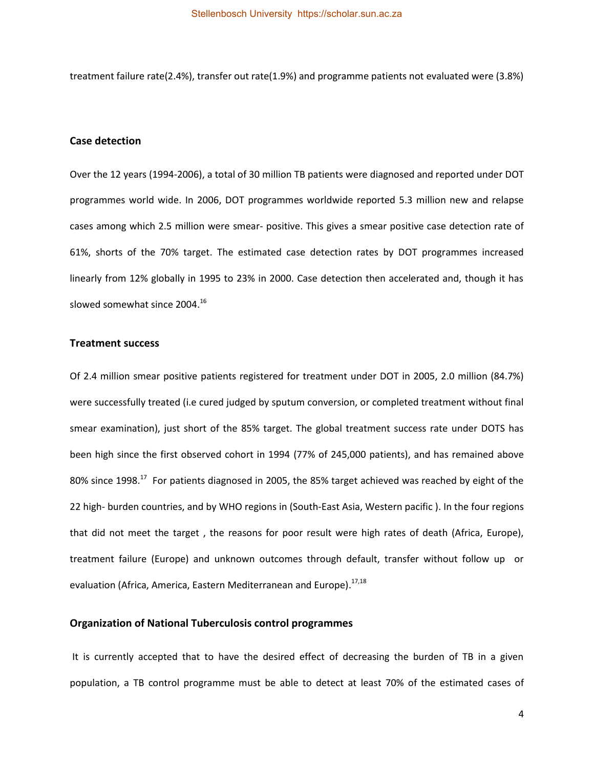treatment failure rate(2.4%), transfer out rate(1.9%) and programme patients not evaluated were (3.8%)

### **Case detection**

Over the 12 years (1994-2006), a total of 30 million TB patients were diagnosed and reported under DOT programmes world wide. In 2006, DOT programmes worldwide reported 5.3 million new and relapse cases among which 2.5 million were smear- positive. This gives a smear positive case detection rate of 61%, shorts of the 70% target. The estimated case detection rates by DOT programmes increased linearly from 12% globally in 1995 to 23% in 2000. Case detection then accelerated and, though it has slowed somewhat since 2004.<sup>16</sup>

#### <span id="page-12-0"></span>**Treatment success**

Of 2.4 million smear positive patients registered for treatment under DOT in 2005, 2.0 million (84.7%) were successfully treated (i.e cured judged by sputum conversion, or completed treatment without final smear examination), just short of the 85% target. The global treatment success rate under DOTS has been high since the first observed cohort in 1994 (77% of 245,000 patients), and has remained above 80% since 1998.<sup>17</sup> For patients diagnosed in 2005, the 85% target achieved was reached by eight of the 22 high- burden countries, and by WHO regions in (South-East Asia, Western pacific ). In the four regions that did not meet the target , the reasons for poor result were high rates of death (Africa, Europe), treatment failure (Europe) and unknown outcomes through default, transfer without follow up or evaluation (Africa, America, Eastern Mediterranean and Europe).<sup>17,18</sup>

### <span id="page-12-1"></span>**Organization of National Tuberculosis control programmes**

It is currently accepted that to have the desired effect of decreasing the burden of TB in a given population, a TB control programme must be able to detect at least 70% of the estimated cases of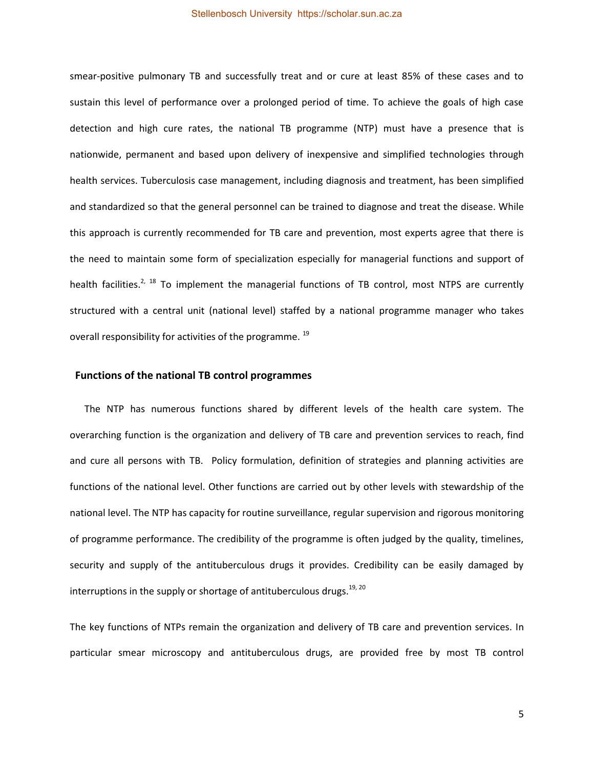smear-positive pulmonary TB and successfully treat and or cure at least 85% of these cases and to sustain this level of performance over a prolonged period of time. To achieve the goals of high case detection and high cure rates, the national TB programme (NTP) must have a presence that is nationwide, permanent and based upon delivery of inexpensive and simplified technologies through health services. Tuberculosis case management, including diagnosis and treatment, has been simplified and standardized so that the general personnel can be trained to diagnose and treat the disease. While this approach is currently recommended for TB care and prevention, most experts agree that there is the need to maintain some form of specialization especially for managerial functions and support of health facilities.<sup>2, 18</sup> To implement the managerial functions of TB control, most NTPS are currently structured with a central unit (national level) staffed by a national programme manager who takes overall responsibility for activities of the programme.  $^{19}$ 

### <span id="page-13-0"></span> **Functions of the national TB control programmes**

The NTP has numerous functions shared by different levels of the health care system. The overarching function is the organization and delivery of TB care and prevention services to reach, find and cure all persons with TB. Policy formulation, definition of strategies and planning activities are functions of the national level. Other functions are carried out by other levels with stewardship of the national level. The NTP has capacity for routine surveillance, regular supervision and rigorous monitoring of programme performance. The credibility of the programme is often judged by the quality, timelines, security and supply of the antituberculous drugs it provides. Credibility can be easily damaged by interruptions in the supply or shortage of antituberculous drugs.<sup>19, 20</sup>

The key functions of NTPs remain the organization and delivery of TB care and prevention services. In particular smear microscopy and antituberculous drugs, are provided free by most TB control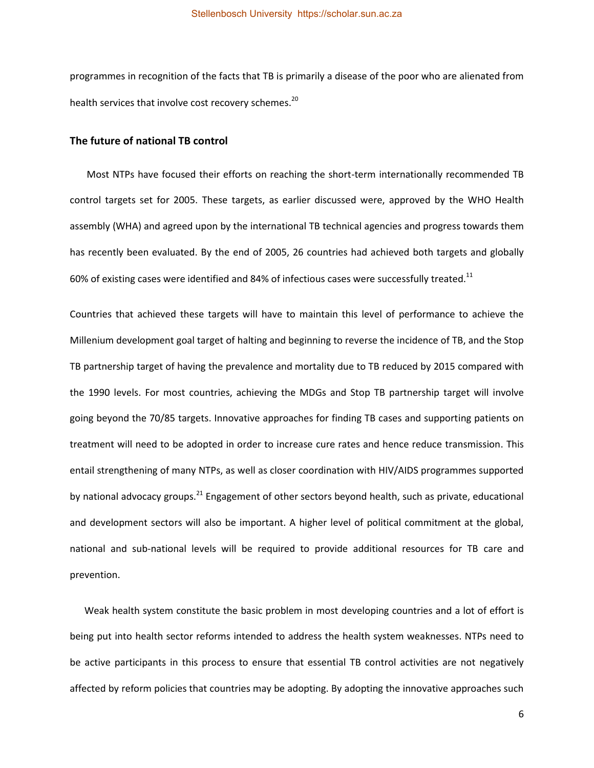programmes in recognition of the facts that TB is primarily a disease of the poor who are alienated from health services that involve cost recovery schemes.<sup>20</sup>

#### <span id="page-14-0"></span>**The future of national TB control**

 Most NTPs have focused their efforts on reaching the short-term internationally recommended TB control targets set for 2005. These targets, as earlier discussed were, approved by the WHO Health assembly (WHA) and agreed upon by the international TB technical agencies and progress towards them has recently been evaluated. By the end of 2005, 26 countries had achieved both targets and globally 60% of existing cases were identified and 84% of infectious cases were successfully treated.<sup>11</sup>

Countries that achieved these targets will have to maintain this level of performance to achieve the Millenium development goal target of halting and beginning to reverse the incidence of TB, and the Stop TB partnership target of having the prevalence and mortality due to TB reduced by 2015 compared with the 1990 levels. For most countries, achieving the MDGs and Stop TB partnership target will involve going beyond the 70/85 targets. Innovative approaches for finding TB cases and supporting patients on treatment will need to be adopted in order to increase cure rates and hence reduce transmission. This entail strengthening of many NTPs, as well as closer coordination with HIV/AIDS programmes supported by national advocacy groups.<sup>21</sup> Engagement of other sectors beyond health, such as private, educational and development sectors will also be important. A higher level of political commitment at the global, national and sub-national levels will be required to provide additional resources for TB care and prevention.

 Weak health system constitute the basic problem in most developing countries and a lot of effort is being put into health sector reforms intended to address the health system weaknesses. NTPs need to be active participants in this process to ensure that essential TB control activities are not negatively affected by reform policies that countries may be adopting. By adopting the innovative approaches such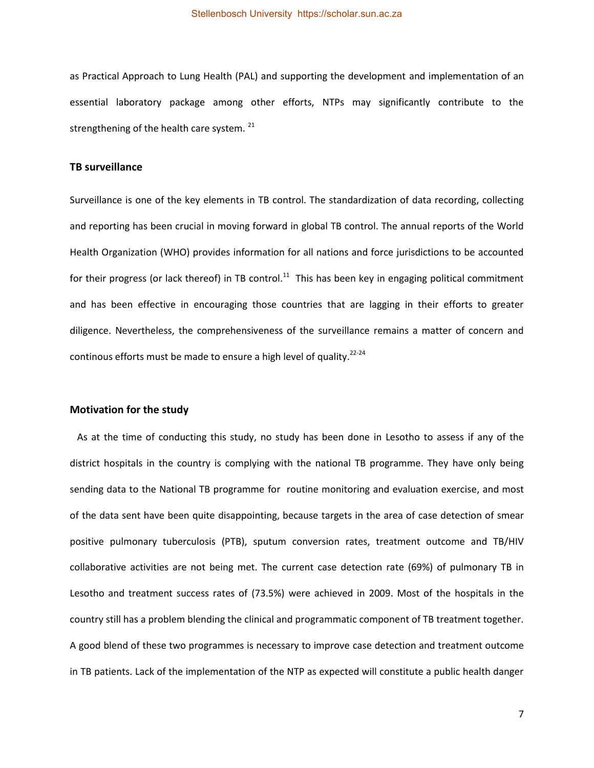as Practical Approach to Lung Health (PAL) and supporting the development and implementation of an essential laboratory package among other efforts, NTPs may significantly contribute to the strengthening of the health care system.  $21$ 

### <span id="page-15-0"></span>**TB surveillance**

Surveillance is one of the key elements in TB control. The standardization of data recording, collecting and reporting has been crucial in moving forward in global TB control. The annual reports of the World Health Organization (WHO) provides information for all nations and force jurisdictions to be accounted for their progress (or lack thereof) in TB control.<sup>11</sup> This has been key in engaging political commitment and has been effective in encouraging those countries that are lagging in their efforts to greater diligence. Nevertheless, the comprehensiveness of the surveillance remains a matter of concern and continous efforts must be made to ensure a high level of quality.<sup>22-24</sup>

#### <span id="page-15-1"></span>**Motivation for the study**

 As at the time of conducting this study, no study has been done in Lesotho to assess if any of the district hospitals in the country is complying with the national TB programme. They have only being sending data to the National TB programme for routine monitoring and evaluation exercise, and most of the data sent have been quite disappointing, because targets in the area of case detection of smear positive pulmonary tuberculosis (PTB), sputum conversion rates, treatment outcome and TB/HIV collaborative activities are not being met. The current case detection rate (69%) of pulmonary TB in Lesotho and treatment success rates of (73.5%) were achieved in 2009. Most of the hospitals in the country still has a problem blending the clinical and programmatic component of TB treatment together. A good blend of these two programmes is necessary to improve case detection and treatment outcome in TB patients. Lack of the implementation of the NTP as expected will constitute a public health danger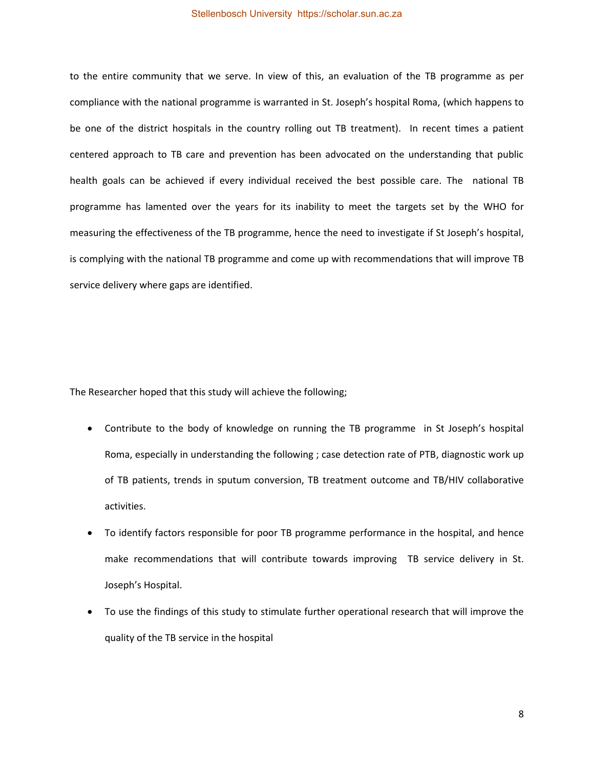to the entire community that we serve. In view of this, an evaluation of the TB programme as per compliance with the national programme is warranted in St. Joseph's hospital Roma, (which happens to be one of the district hospitals in the country rolling out TB treatment). In recent times a patient centered approach to TB care and prevention has been advocated on the understanding that public health goals can be achieved if every individual received the best possible care. The national TB programme has lamented over the years for its inability to meet the targets set by the WHO for measuring the effectiveness of the TB programme, hence the need to investigate if St Joseph's hospital, is complying with the national TB programme and come up with recommendations that will improve TB service delivery where gaps are identified.

The Researcher hoped that this study will achieve the following;

- Contribute to the body of knowledge on running the TB programme in St Joseph's hospital Roma, especially in understanding the following ; case detection rate of PTB, diagnostic work up of TB patients, trends in sputum conversion, TB treatment outcome and TB/HIV collaborative activities.
- To identify factors responsible for poor TB programme performance in the hospital, and hence make recommendations that will contribute towards improving TB service delivery in St. Joseph's Hospital.
- To use the findings of this study to stimulate further operational research that will improve the quality of the TB service in the hospital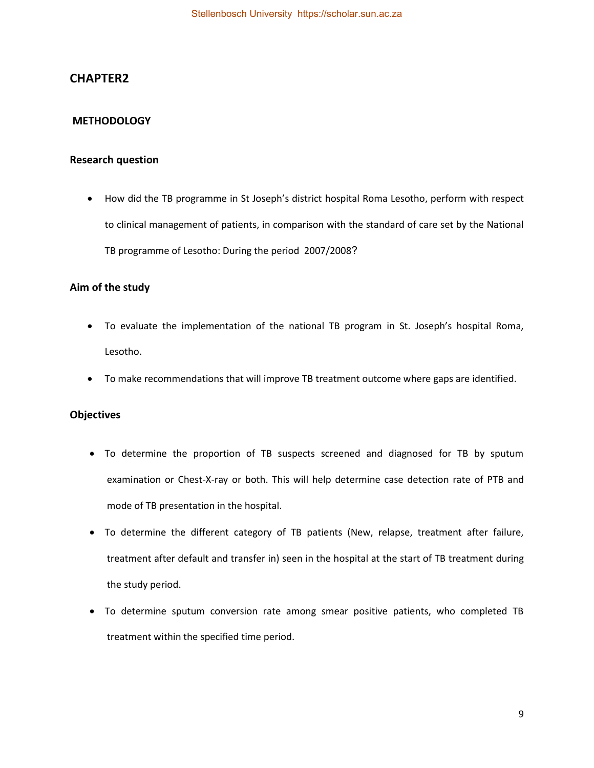# <span id="page-17-0"></span>**CHAPTER2**

## <span id="page-17-1"></span> **METHODOLOGY**

# <span id="page-17-2"></span>**Research question**

 How did the TB programme in St Joseph's district hospital Roma Lesotho, perform with respect to clinical management of patients, in comparison with the standard of care set by the National TB programme of Lesotho: During the period 2007/2008?

### <span id="page-17-3"></span>**Aim of the study**

- To evaluate the implementation of the national TB program in St. Joseph's hospital Roma, Lesotho.
- To make recommendations that will improve TB treatment outcome where gaps are identified.

### <span id="page-17-4"></span>**Objectives**

- To determine the proportion of TB suspects screened and diagnosed for TB by sputum examination or Chest-X-ray or both. This will help determine case detection rate of PTB and mode of TB presentation in the hospital.
- To determine the different category of TB patients (New, relapse, treatment after failure, treatment after default and transfer in) seen in the hospital at the start of TB treatment during the study period.
- To determine sputum conversion rate among smear positive patients, who completed TB treatment within the specified time period.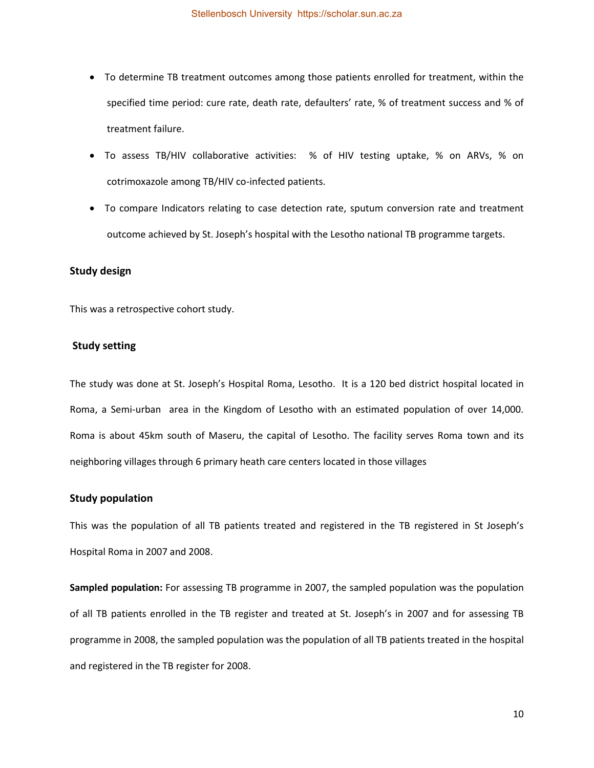- To determine TB treatment outcomes among those patients enrolled for treatment, within the specified time period: cure rate, death rate, defaulters' rate, % of treatment success and % of treatment failure.
- To assess TB/HIV collaborative activities: % of HIV testing uptake, % on ARVs, % on cotrimoxazole among TB/HIV co-infected patients.
- To compare Indicators relating to case detection rate, sputum conversion rate and treatment outcome achieved by St. Joseph's hospital with the Lesotho national TB programme targets.

### <span id="page-18-0"></span>**Study design**

This was a retrospective cohort study.

#### <span id="page-18-1"></span> **Study setting**

The study was done at St. Joseph's Hospital Roma, Lesotho. It is a 120 bed district hospital located in Roma, a Semi-urban area in the Kingdom of Lesotho with an estimated population of over 14,000. Roma is about 45km south of Maseru, the capital of Lesotho. The facility serves Roma town and its neighboring villages through 6 primary heath care centers located in those villages

### <span id="page-18-2"></span>**Study population**

This was the population of all TB patients treated and registered in the TB registered in St Joseph's Hospital Roma in 2007 and 2008.

**Sampled population:** For assessing TB programme in 2007, the sampled population was the population of all TB patients enrolled in the TB register and treated at St. Joseph's in 2007 and for assessing TB programme in 2008, the sampled population was the population of all TB patients treated in the hospital and registered in the TB register for 2008.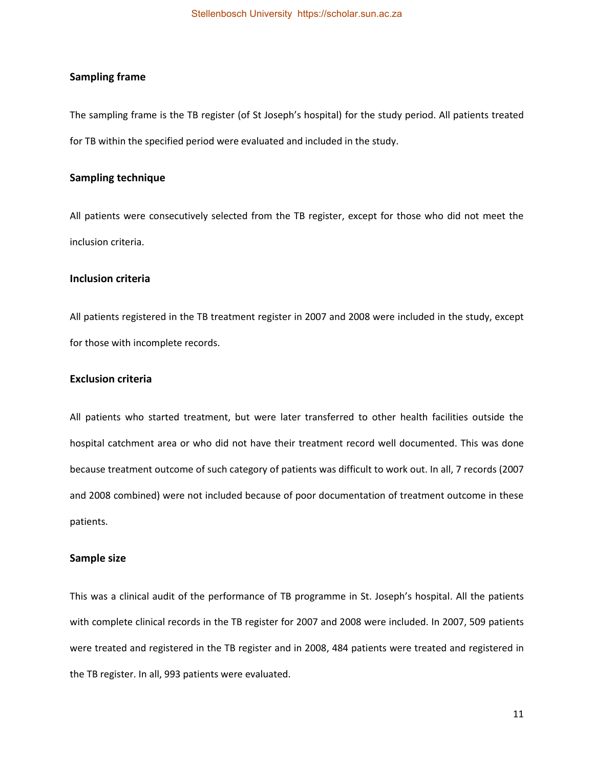#### <span id="page-19-0"></span>**Sampling frame**

The sampling frame is the TB register (of St Joseph's hospital) for the study period. All patients treated for TB within the specified period were evaluated and included in the study.

### <span id="page-19-1"></span>**Sampling technique**

All patients were consecutively selected from the TB register, except for those who did not meet the inclusion criteria.

### <span id="page-19-2"></span>**Inclusion criteria**

<span id="page-19-3"></span>All patients registered in the TB treatment register in 2007 and 2008 were included in the study, except for those with incomplete records.

### **Exclusion criteria**

All patients who started treatment, but were later transferred to other health facilities outside the hospital catchment area or who did not have their treatment record well documented. This was done because treatment outcome of such category of patients was difficult to work out. In all, 7 records (2007 and 2008 combined) were not included because of poor documentation of treatment outcome in these patients.

#### <span id="page-19-4"></span>**Sample size**

This was a clinical audit of the performance of TB programme in St. Joseph's hospital. All the patients with complete clinical records in the TB register for 2007 and 2008 were included. In 2007, 509 patients were treated and registered in the TB register and in 2008, 484 patients were treated and registered in the TB register. In all, 993 patients were evaluated.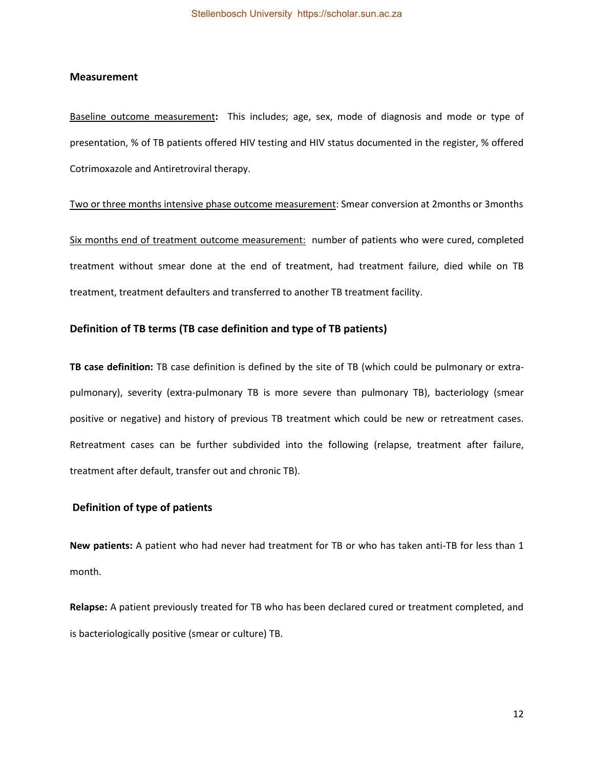#### <span id="page-20-0"></span>**Measurement**

Baseline outcome measurement**:** This includes; age, sex, mode of diagnosis and mode or type of presentation, % of TB patients offered HIV testing and HIV status documented in the register, % offered Cotrimoxazole and Antiretroviral therapy.

Two or three months intensive phase outcome measurement: Smear conversion at 2months or 3months

Six months end of treatment outcome measurement: number of patients who were cured, completed treatment without smear done at the end of treatment, had treatment failure, died while on TB treatment, treatment defaulters and transferred to another TB treatment facility.

#### <span id="page-20-1"></span>**Definition of TB terms (TB case definition and type of TB patients)**

**TB case definition:** TB case definition is defined by the site of TB (which could be pulmonary or extrapulmonary), severity (extra-pulmonary TB is more severe than pulmonary TB), bacteriology (smear positive or negative) and history of previous TB treatment which could be new or retreatment cases. Retreatment cases can be further subdivided into the following (relapse, treatment after failure, treatment after default, transfer out and chronic TB).

#### <span id="page-20-2"></span> **Definition of type of patients**

**New patients:** A patient who had never had treatment for TB or who has taken anti-TB for less than 1 month.

**Relapse:** A patient previously treated for TB who has been declared cured or treatment completed, and is bacteriologically positive (smear or culture) TB.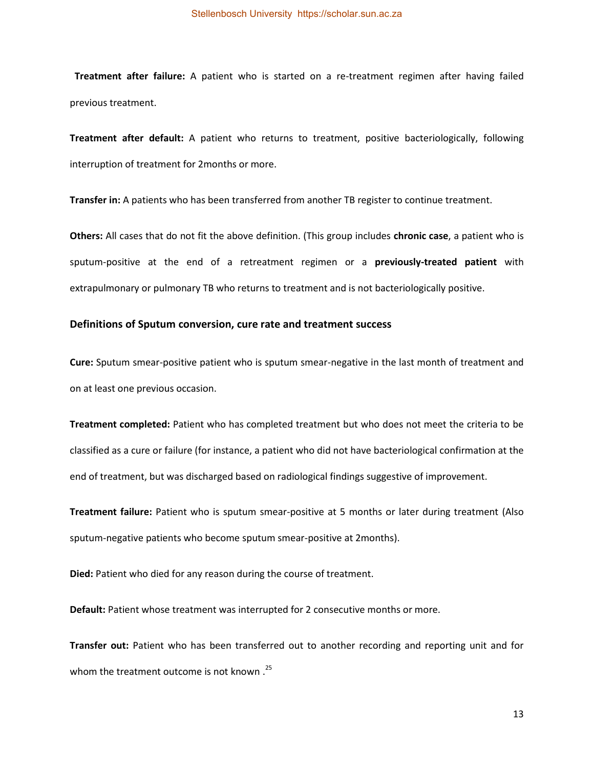**Treatment after failure:** A patient who is started on a re-treatment regimen after having failed previous treatment.

**Treatment after default:** A patient who returns to treatment, positive bacteriologically, following interruption of treatment for 2months or more.

**Transfer in:** A patients who has been transferred from another TB register to continue treatment.

**Others:** All cases that do not fit the above definition. (This group includes **chronic case**, a patient who is sputum-positive at the end of a retreatment regimen or a **previously-treated patient** with extrapulmonary or pulmonary TB who returns to treatment and is not bacteriologically positive.

#### <span id="page-21-0"></span>**Definitions of Sputum conversion, cure rate and treatment success**

**Cure:** Sputum smear-positive patient who is sputum smear-negative in the last month of treatment and on at least one previous occasion.

**Treatment completed:** Patient who has completed treatment but who does not meet the criteria to be classified as a cure or failure (for instance, a patient who did not have bacteriological confirmation at the end of treatment, but was discharged based on radiological findings suggestive of improvement.

**Treatment failure:** Patient who is sputum smear-positive at 5 months or later during treatment (Also sputum-negative patients who become sputum smear-positive at 2months).

**Died:** Patient who died for any reason during the course of treatment.

**Default:** Patient whose treatment was interrupted for 2 consecutive months or more.

**Transfer out:** Patient who has been transferred out to another recording and reporting unit and for whom the treatment outcome is not known .<sup>25</sup>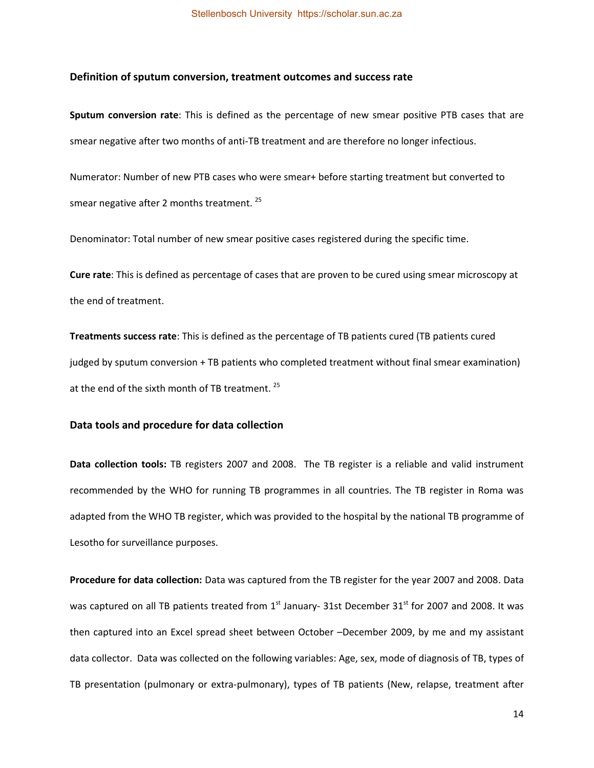#### <span id="page-22-0"></span>**Definition of sputum conversion, treatment outcomes and success rate**

**Sputum conversion rate**: This is defined as the percentage of new smear positive PTB cases that are smear negative after two months of anti-TB treatment and are therefore no longer infectious.

Numerator: Number of new PTB cases who were smear+ before starting treatment but converted to smear negative after 2 months treatment.<sup>25</sup>

Denominator: Total number of new smear positive cases registered during the specific time.

**Cure rate**: This is defined as percentage of cases that are proven to be cured using smear microscopy at the end of treatment.

**Treatments success rate**: This is defined as the percentage of TB patients cured (TB patients cured judged by sputum conversion + TB patients who completed treatment without final smear examination) at the end of the sixth month of TB treatment.  $25$ 

#### <span id="page-22-1"></span>**Data tools and procedure for data collection**

<span id="page-22-2"></span>**Data collection tools:** TB registers 2007 and 2008. The TB register is a reliable and valid instrument recommended by the WHO for running TB programmes in all countries. The TB register in Roma was adapted from the WHO TB register, which was provided to the hospital by the national TB programme of Lesotho for surveillance purposes.

**Procedure for data collection:** Data was captured from the TB register for the year 2007 and 2008. Data was captured on all TB patients treated from  $1<sup>st</sup>$  January- 31st December 31<sup>st</sup> for 2007 and 2008. It was then captured into an Excel spread sheet between October –December 2009, by me and my assistant data collector. Data was collected on the following variables: Age, sex, mode of diagnosis of TB, types of TB presentation (pulmonary or extra-pulmonary), types of TB patients (New, relapse, treatment after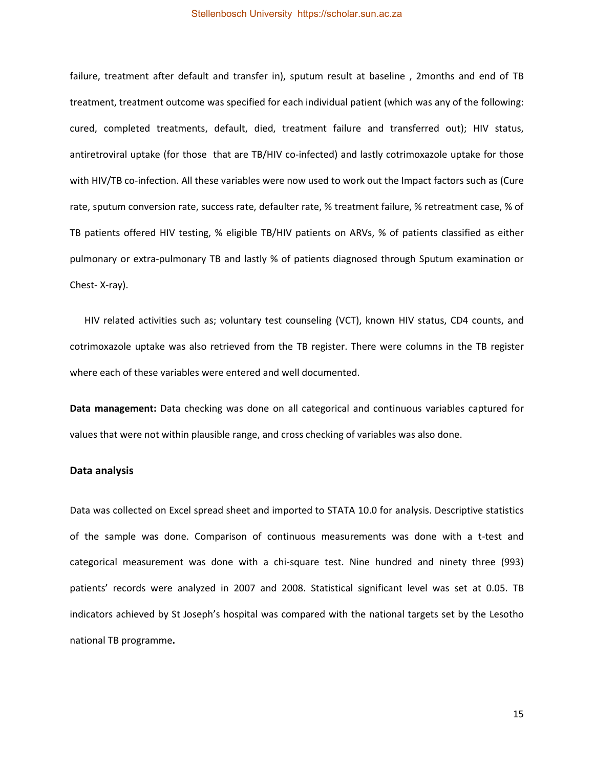failure, treatment after default and transfer in), sputum result at baseline , 2months and end of TB treatment, treatment outcome was specified for each individual patient (which was any of the following: cured, completed treatments, default, died, treatment failure and transferred out); HIV status, antiretroviral uptake (for those that are TB/HIV co-infected) and lastly cotrimoxazole uptake for those with HIV/TB co-infection. All these variables were now used to work out the Impact factors such as (Cure rate, sputum conversion rate, success rate, defaulter rate, % treatment failure, % retreatment case, % of TB patients offered HIV testing, % eligible TB/HIV patients on ARVs, % of patients classified as either pulmonary or extra-pulmonary TB and lastly % of patients diagnosed through Sputum examination or Chest- X-ray).

 HIV related activities such as; voluntary test counseling (VCT), known HIV status, CD4 counts, and cotrimoxazole uptake was also retrieved from the TB register. There were columns in the TB register where each of these variables were entered and well documented.

**Data management:** Data checking was done on all categorical and continuous variables captured for values that were not within plausible range, and cross checking of variables was also done.

#### <span id="page-23-0"></span>**Data analysis**

Data was collected on Excel spread sheet and imported to STATA 10.0 for analysis. Descriptive statistics of the sample was done. Comparison of continuous measurements was done with a t-test and categorical measurement was done with a chi-square test. Nine hundred and ninety three (993) patients' records were analyzed in 2007 and 2008. Statistical significant level was set at 0.05. TB indicators achieved by St Joseph's hospital was compared with the national targets set by the Lesotho national TB programme**.**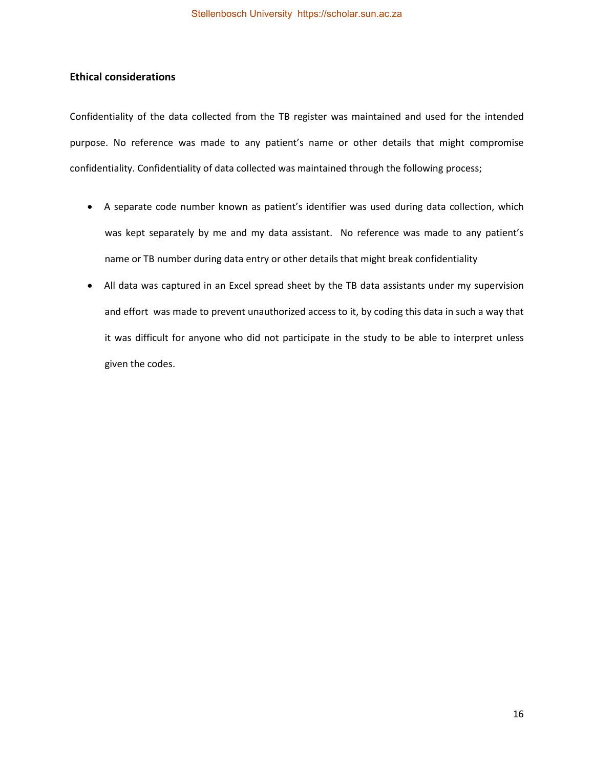### <span id="page-24-0"></span>**Ethical considerations**

Confidentiality of the data collected from the TB register was maintained and used for the intended purpose. No reference was made to any patient's name or other details that might compromise confidentiality. Confidentiality of data collected was maintained through the following process;

- A separate code number known as patient's identifier was used during data collection, which was kept separately by me and my data assistant. No reference was made to any patient's name or TB number during data entry or other details that might break confidentiality
- <span id="page-24-1"></span> All data was captured in an Excel spread sheet by the TB data assistants under my supervision and effort was made to prevent unauthorized access to it, by coding this data in such a way that it was difficult for anyone who did not participate in the study to be able to interpret unless given the codes.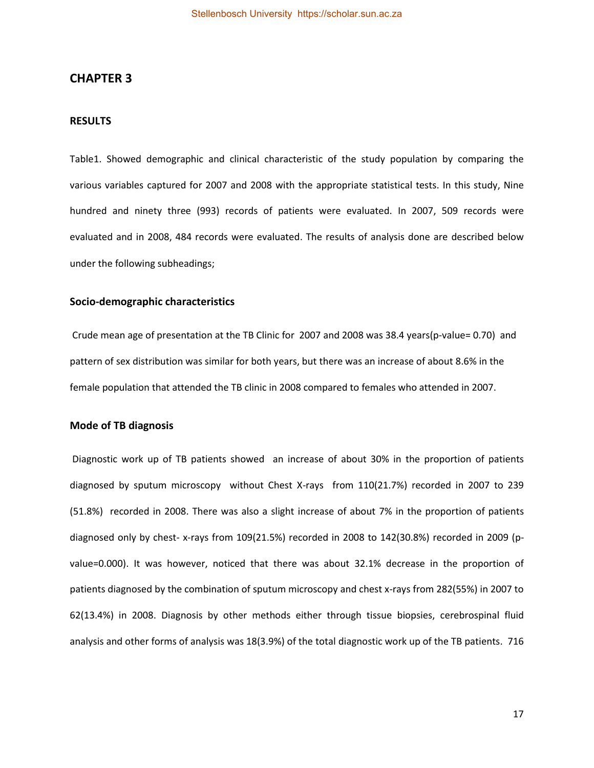### **CHAPTER 3**

#### <span id="page-25-0"></span>**RESULTS**

Table1. Showed demographic and clinical characteristic of the study population by comparing the various variables captured for 2007 and 2008 with the appropriate statistical tests. In this study, Nine hundred and ninety three (993) records of patients were evaluated. In 2007, 509 records were evaluated and in 2008, 484 records were evaluated. The results of analysis done are described below under the following subheadings;

#### <span id="page-25-1"></span>**Socio-demographic characteristics**

 Crude mean age of presentation at the TB Clinic for 2007 and 2008 was 38.4 years(p-value= 0.70) and pattern of sex distribution was similar for both years, but there was an increase of about 8.6% in the female population that attended the TB clinic in 2008 compared to females who attended in 2007.

#### <span id="page-25-2"></span>**Mode of TB diagnosis**

 Diagnostic work up of TB patients showed an increase of about 30% in the proportion of patients diagnosed by sputum microscopy without Chest X-rays from 110(21.7%) recorded in 2007 to 239 (51.8%) recorded in 2008. There was also a slight increase of about 7% in the proportion of patients diagnosed only by chest- x-rays from 109(21.5%) recorded in 2008 to 142(30.8%) recorded in 2009 (pvalue=0.000). It was however, noticed that there was about 32.1% decrease in the proportion of patients diagnosed by the combination of sputum microscopy and chest x-rays from 282(55%) in 2007 to 62(13.4%) in 2008. Diagnosis by other methods either through tissue biopsies, cerebrospinal fluid analysis and other forms of analysis was 18(3.9%) of the total diagnostic work up of the TB patients. 716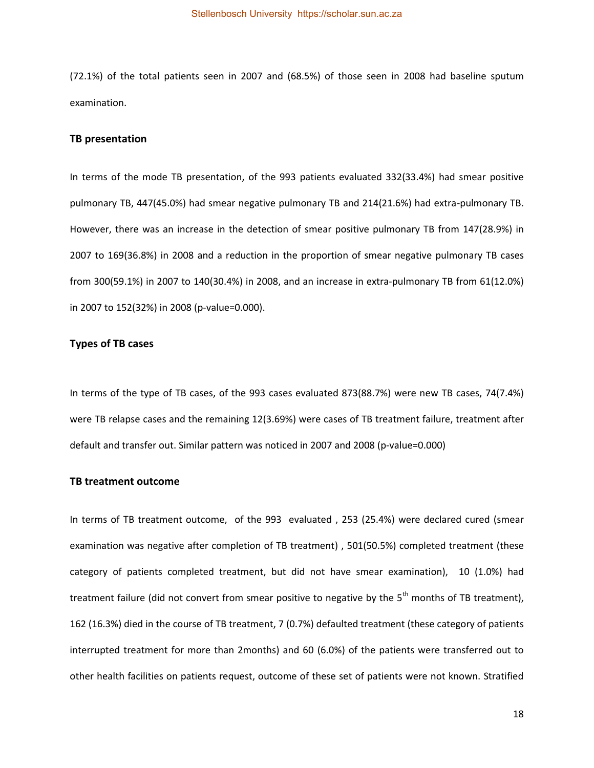(72.1%) of the total patients seen in 2007 and (68.5%) of those seen in 2008 had baseline sputum examination.

### <span id="page-26-0"></span>**TB presentation**

In terms of the mode TB presentation, of the 993 patients evaluated 332(33.4%) had smear positive pulmonary TB, 447(45.0%) had smear negative pulmonary TB and 214(21.6%) had extra-pulmonary TB. However, there was an increase in the detection of smear positive pulmonary TB from 147(28.9%) in 2007 to 169(36.8%) in 2008 and a reduction in the proportion of smear negative pulmonary TB cases from 300(59.1%) in 2007 to 140(30.4%) in 2008, and an increase in extra-pulmonary TB from 61(12.0%) in 2007 to 152(32%) in 2008 (p-value=0.000).

#### <span id="page-26-1"></span>**Types of TB cases**

In terms of the type of TB cases, of the 993 cases evaluated 873(88.7%) were new TB cases, 74(7.4%) were TB relapse cases and the remaining 12(3.69%) were cases of TB treatment failure, treatment after default and transfer out. Similar pattern was noticed in 2007 and 2008 (p-value=0.000)

#### <span id="page-26-2"></span>**TB treatment outcome**

In terms of TB treatment outcome, of the 993 evaluated , 253 (25.4%) were declared cured (smear examination was negative after completion of TB treatment) , 501(50.5%) completed treatment (these category of patients completed treatment, but did not have smear examination), 10 (1.0%) had treatment failure (did not convert from smear positive to negative by the  $5<sup>th</sup>$  months of TB treatment), 162 (16.3%) died in the course of TB treatment, 7 (0.7%) defaulted treatment (these category of patients interrupted treatment for more than 2months) and 60 (6.0%) of the patients were transferred out to other health facilities on patients request, outcome of these set of patients were not known. Stratified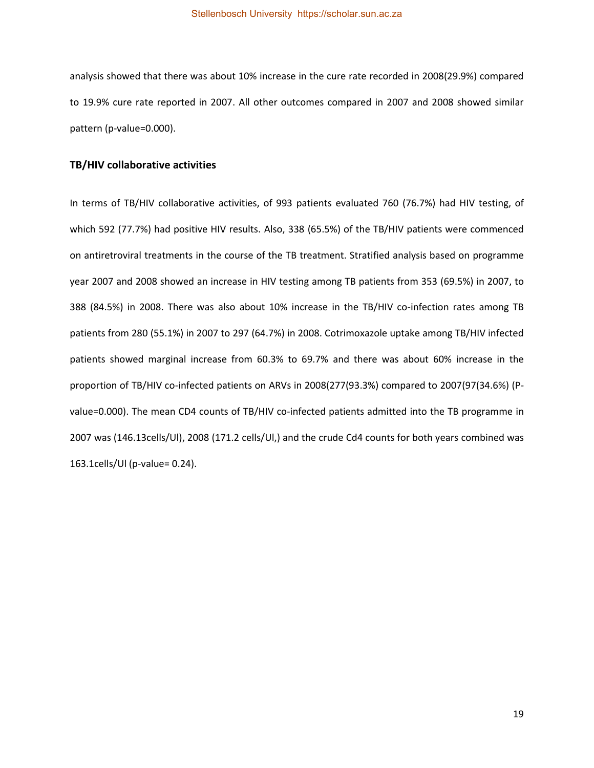analysis showed that there was about 10% increase in the cure rate recorded in 2008(29.9%) compared to 19.9% cure rate reported in 2007. All other outcomes compared in 2007 and 2008 showed similar pattern (p-value=0.000).

### <span id="page-27-0"></span>**TB/HIV collaborative activities**

In terms of TB/HIV collaborative activities, of 993 patients evaluated 760 (76.7%) had HIV testing, of which 592 (77.7%) had positive HIV results. Also, 338 (65.5%) of the TB/HIV patients were commenced on antiretroviral treatments in the course of the TB treatment. Stratified analysis based on programme year 2007 and 2008 showed an increase in HIV testing among TB patients from 353 (69.5%) in 2007, to 388 (84.5%) in 2008. There was also about 10% increase in the TB/HIV co-infection rates among TB patients from 280 (55.1%) in 2007 to 297 (64.7%) in 2008. Cotrimoxazole uptake among TB/HIV infected patients showed marginal increase from 60.3% to 69.7% and there was about 60% increase in the proportion of TB/HIV co-infected patients on ARVs in 2008(277(93.3%) compared to 2007(97(34.6%) (Pvalue=0.000). The mean CD4 counts of TB/HIV co-infected patients admitted into the TB programme in 2007 was (146.13cells/Ul), 2008 (171.2 cells/Ul,) and the crude Cd4 counts for both years combined was 163.1cells/Ul (p-value= 0.24).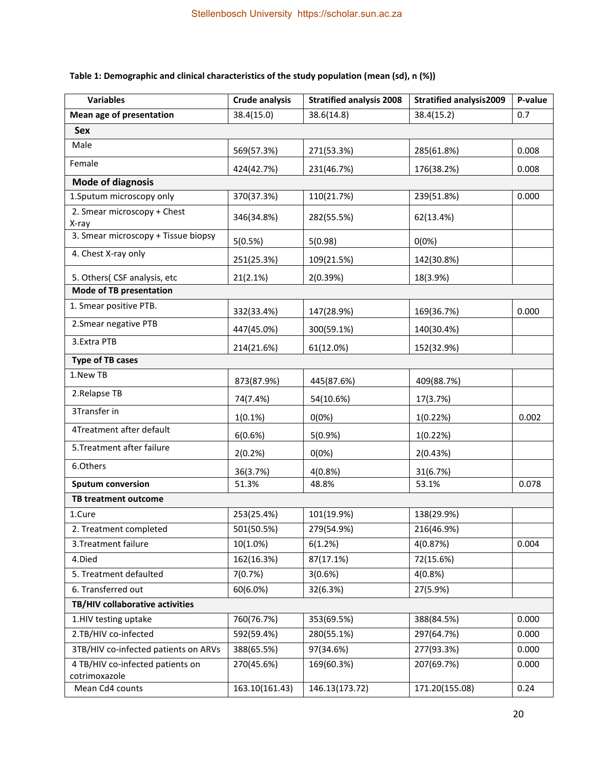# **Table 1: Demographic and clinical characteristics of the study population (mean (sd), n (%))**

| <b>Variables</b>                                  | <b>Crude analysis</b> | <b>Stratified analysis 2008</b> | <b>Stratified analysis2009</b> | P-value |  |  |  |  |
|---------------------------------------------------|-----------------------|---------------------------------|--------------------------------|---------|--|--|--|--|
| <b>Mean age of presentation</b>                   | 38.4(15.0)            | 38.6(14.8)                      | 38.4(15.2)                     | 0.7     |  |  |  |  |
| <b>Sex</b>                                        |                       |                                 |                                |         |  |  |  |  |
| Male                                              | 569(57.3%)            | 271(53.3%)                      | 285(61.8%)                     | 0.008   |  |  |  |  |
| Female                                            | 424(42.7%)            | 231(46.7%)                      | 176(38.2%)                     | 0.008   |  |  |  |  |
| <b>Mode of diagnosis</b>                          |                       |                                 |                                |         |  |  |  |  |
| 1. Sputum microscopy only                         | 370(37.3%)            | 110(21.7%)                      | 239(51.8%)                     | 0.000   |  |  |  |  |
| 2. Smear microscopy + Chest<br>X-ray              | 346(34.8%)            | 282(55.5%)                      | 62(13.4%)                      |         |  |  |  |  |
| 3. Smear microscopy + Tissue biopsy               | 5(0.5%)               | 5(0.98)                         | 0(0%)                          |         |  |  |  |  |
| 4. Chest X-ray only                               | 251(25.3%)            | 109(21.5%)                      | 142(30.8%)                     |         |  |  |  |  |
| 5. Others( CSF analysis, etc                      | 21(2.1%)              | 2(0.39%)                        | 18(3.9%)                       |         |  |  |  |  |
| <b>Mode of TB presentation</b>                    |                       |                                 |                                |         |  |  |  |  |
| 1. Smear positive PTB.                            | 332(33.4%)            | 147(28.9%)                      | 169(36.7%)                     | 0.000   |  |  |  |  |
| 2. Smear negative PTB                             | 447(45.0%)            | 300(59.1%)                      | 140(30.4%)                     |         |  |  |  |  |
| 3.Extra PTB                                       | 214(21.6%)            | 61(12.0%)                       | 152(32.9%)                     |         |  |  |  |  |
| <b>Type of TB cases</b>                           |                       |                                 |                                |         |  |  |  |  |
| 1.New TB                                          | 873(87.9%)            | 445(87.6%)                      | 409(88.7%)                     |         |  |  |  |  |
| 2.Relapse TB                                      | 74(7.4%)              | 54(10.6%)                       | 17(3.7%)                       |         |  |  |  |  |
| 3Transfer in                                      | 1(0.1%)               | 0(0%)                           | 1(0.22%)                       | 0.002   |  |  |  |  |
| 4Treatment after default                          | 6(0.6%)               | 5(0.9%)                         | 1(0.22%)                       |         |  |  |  |  |
| 5. Treatment after failure                        | 2(0.2%)               | 0(0%)                           | 2(0.43%)                       |         |  |  |  |  |
| 6.Others                                          | 36(3.7%)              | 4(0.8%)                         | 31(6.7%)                       |         |  |  |  |  |
| <b>Sputum conversion</b>                          | 51.3%                 | 48.8%                           | 53.1%                          | 0.078   |  |  |  |  |
| <b>TB treatment outcome</b>                       |                       |                                 |                                |         |  |  |  |  |
| 1.Cure                                            | 253(25.4%)            | 101(19.9%)                      | 138(29.9%)                     |         |  |  |  |  |
| 2. Treatment completed                            | 501(50.5%)            | 279(54.9%)                      | 216(46.9%)                     |         |  |  |  |  |
| 3. Treatment failure                              | $10(1.0\%)$           | 6(1.2%)                         | 4(0.87%)                       | 0.004   |  |  |  |  |
| 4.Died                                            | 162(16.3%)            | 87(17.1%)                       | 72(15.6%)                      |         |  |  |  |  |
| 5. Treatment defaulted                            | 7(0.7%)               | 3(0.6%)                         | 4(0.8%)                        |         |  |  |  |  |
| 6. Transferred out                                | 60(6.0%)              | 32(6.3%)                        | 27(5.9%)                       |         |  |  |  |  |
| TB/HIV collaborative activities                   |                       |                                 |                                |         |  |  |  |  |
| 1.HIV testing uptake                              | 760(76.7%)            | 353(69.5%)                      | 388(84.5%)                     | 0.000   |  |  |  |  |
| 2.TB/HIV co-infected                              | 592(59.4%)            | 280(55.1%)                      | 297(64.7%)                     | 0.000   |  |  |  |  |
| 3TB/HIV co-infected patients on ARVs              | 388(65.5%)            | 97(34.6%)                       | 277(93.3%)                     | 0.000   |  |  |  |  |
| 4 TB/HIV co-infected patients on<br>cotrimoxazole | 270(45.6%)            | 169(60.3%)                      | 207(69.7%)                     | 0.000   |  |  |  |  |
| Mean Cd4 counts                                   | 163.10(161.43)        | 146.13(173.72)                  | 171.20(155.08)                 | 0.24    |  |  |  |  |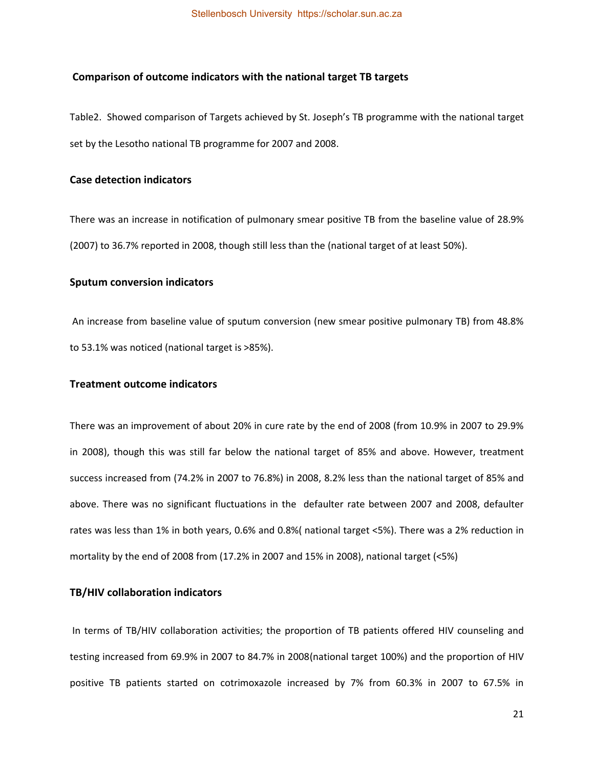#### <span id="page-29-0"></span> **Comparison of outcome indicators with the national target TB targets**

Table2. Showed comparison of Targets achieved by St. Joseph's TB programme with the national target set by the Lesotho national TB programme for 2007 and 2008.

### <span id="page-29-1"></span>**Case detection indicators**

There was an increase in notification of pulmonary smear positive TB from the baseline value of 28.9% (2007) to 36.7% reported in 2008, though still less than the (national target of at least 50%).

### <span id="page-29-2"></span>**Sputum conversion indicators**

 An increase from baseline value of sputum conversion (new smear positive pulmonary TB) from 48.8% to 53.1% was noticed (national target is >85%).

### <span id="page-29-3"></span>**Treatment outcome indicators**

There was an improvement of about 20% in cure rate by the end of 2008 (from 10.9% in 2007 to 29.9% in 2008), though this was still far below the national target of 85% and above. However, treatment success increased from (74.2% in 2007 to 76.8%) in 2008, 8.2% less than the national target of 85% and above. There was no significant fluctuations in the defaulter rate between 2007 and 2008, defaulter rates was less than 1% in both years, 0.6% and 0.8%( national target <5%). There was a 2% reduction in mortality by the end of 2008 from (17.2% in 2007 and 15% in 2008), national target (<5%)

### <span id="page-29-4"></span>**TB/HIV collaboration indicators**

 In terms of TB/HIV collaboration activities; the proportion of TB patients offered HIV counseling and testing increased from 69.9% in 2007 to 84.7% in 2008(national target 100%) and the proportion of HIV positive TB patients started on cotrimoxazole increased by 7% from 60.3% in 2007 to 67.5% in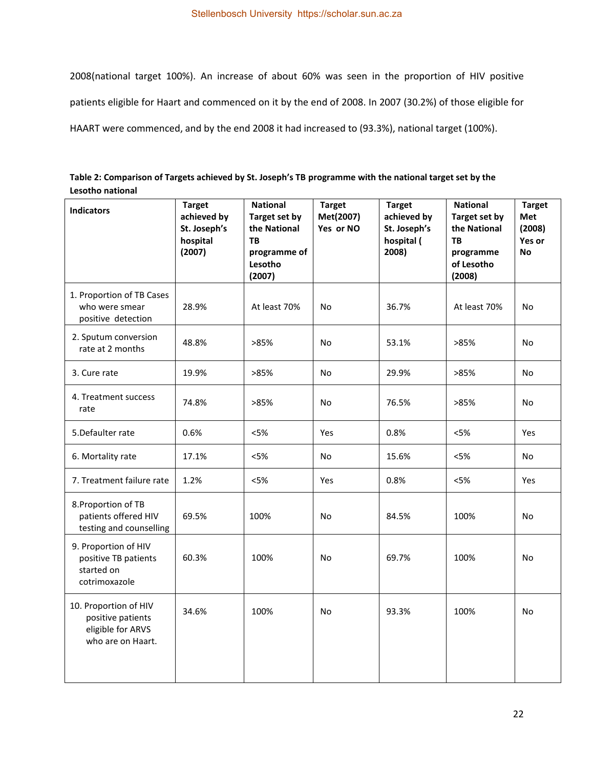2008(national target 100%). An increase of about 60% was seen in the proportion of HIV positive patients eligible for Haart and commenced on it by the end of 2008. In 2007 (30.2%) of those eligible for HAART were commenced, and by the end 2008 it had increased to (93.3%), national target (100%).

<span id="page-30-0"></span>

| Table 2: Comparison of Targets achieved by St. Joseph's TB programme with the national target set by the |
|----------------------------------------------------------------------------------------------------------|
| Lesotho national                                                                                         |

| <b>Indicators</b>                                                                    | <b>Target</b><br>achieved by<br>St. Joseph's<br>hospital<br>(2007) | <b>National</b><br>Target set by<br>the National<br><b>TB</b><br>programme of<br>Lesotho<br>(2007) | <b>Target</b><br>Met(2007)<br>Yes or NO | <b>Target</b><br>achieved by<br>St. Joseph's<br>hospital (<br>2008) | <b>National</b><br>Target set by<br>the National<br><b>TB</b><br>programme<br>of Lesotho<br>(2008) | <b>Target</b><br>Met<br>(2008)<br>Yes or<br><b>No</b> |
|--------------------------------------------------------------------------------------|--------------------------------------------------------------------|----------------------------------------------------------------------------------------------------|-----------------------------------------|---------------------------------------------------------------------|----------------------------------------------------------------------------------------------------|-------------------------------------------------------|
| 1. Proportion of TB Cases<br>who were smear<br>positive detection                    | 28.9%                                                              | At least 70%                                                                                       | No                                      | 36.7%                                                               | At least 70%                                                                                       | No                                                    |
| 2. Sputum conversion<br>rate at 2 months                                             | 48.8%                                                              | >85%                                                                                               | No                                      | 53.1%                                                               | >85%                                                                                               | No                                                    |
| 3. Cure rate                                                                         | 19.9%                                                              | >85%                                                                                               | No                                      | 29.9%                                                               | >85%                                                                                               | No                                                    |
| 4. Treatment success<br>rate                                                         | 74.8%                                                              | >85%                                                                                               | No                                      | 76.5%                                                               | >85%                                                                                               | No                                                    |
| 5.Defaulter rate                                                                     | 0.6%                                                               | < 5%                                                                                               | Yes                                     | 0.8%                                                                | $<$ 5%                                                                                             | Yes                                                   |
| 6. Mortality rate                                                                    | 17.1%                                                              | < 5%                                                                                               | No                                      | 15.6%                                                               | < 5%                                                                                               | No                                                    |
| 7. Treatment failure rate                                                            | 1.2%                                                               | < 5%                                                                                               | Yes                                     | 0.8%                                                                | $<$ 5%                                                                                             | Yes                                                   |
| 8. Proportion of TB<br>patients offered HIV<br>testing and counselling               | 69.5%                                                              | 100%                                                                                               | <b>No</b>                               | 84.5%                                                               | 100%                                                                                               | <b>No</b>                                             |
| 9. Proportion of HIV<br>positive TB patients<br>started on<br>cotrimoxazole          | 60.3%                                                              | 100%                                                                                               | <b>No</b>                               | 69.7%                                                               | 100%                                                                                               | <b>No</b>                                             |
| 10. Proportion of HIV<br>positive patients<br>eligible for ARVS<br>who are on Haart. | 34.6%                                                              | 100%                                                                                               | <b>No</b>                               | 93.3%                                                               | 100%                                                                                               | <b>No</b>                                             |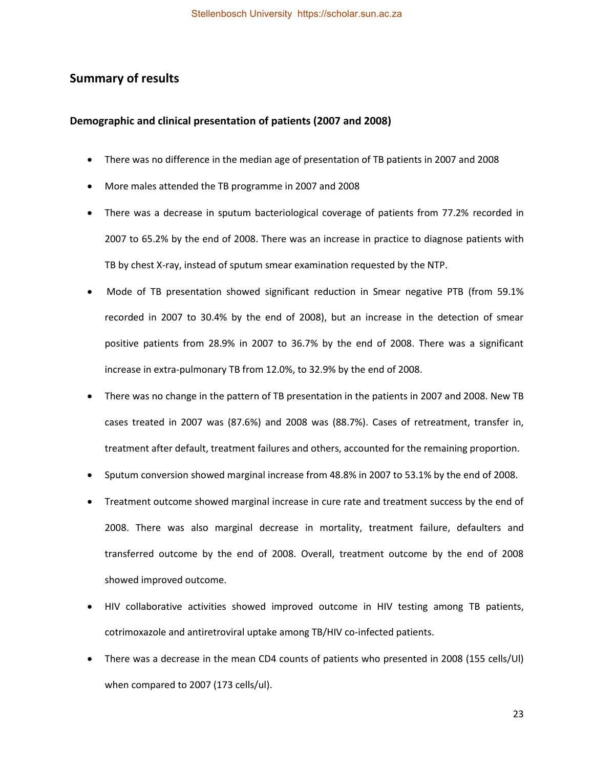# <span id="page-31-0"></span>**Summary of results**

#### <span id="page-31-1"></span>**Demographic and clinical presentation of patients (2007 and 2008)**

- There was no difference in the median age of presentation of TB patients in 2007 and 2008
- More males attended the TB programme in 2007 and 2008
- There was a decrease in sputum bacteriological coverage of patients from 77.2% recorded in 2007 to 65.2% by the end of 2008. There was an increase in practice to diagnose patients with TB by chest X-ray, instead of sputum smear examination requested by the NTP.
- Mode of TB presentation showed significant reduction in Smear negative PTB (from 59.1% recorded in 2007 to 30.4% by the end of 2008), but an increase in the detection of smear positive patients from 28.9% in 2007 to 36.7% by the end of 2008. There was a significant increase in extra-pulmonary TB from 12.0%, to 32.9% by the end of 2008.
- There was no change in the pattern of TB presentation in the patients in 2007 and 2008. New TB cases treated in 2007 was (87.6%) and 2008 was (88.7%). Cases of retreatment, transfer in, treatment after default, treatment failures and others, accounted for the remaining proportion.
- Sputum conversion showed marginal increase from 48.8% in 2007 to 53.1% by the end of 2008.
- Treatment outcome showed marginal increase in cure rate and treatment success by the end of 2008. There was also marginal decrease in mortality, treatment failure, defaulters and transferred outcome by the end of 2008. Overall, treatment outcome by the end of 2008 showed improved outcome.
- HIV collaborative activities showed improved outcome in HIV testing among TB patients, cotrimoxazole and antiretroviral uptake among TB/HIV co-infected patients.
- There was a decrease in the mean CD4 counts of patients who presented in 2008 (155 cells/Ul) when compared to 2007 (173 cells/ul).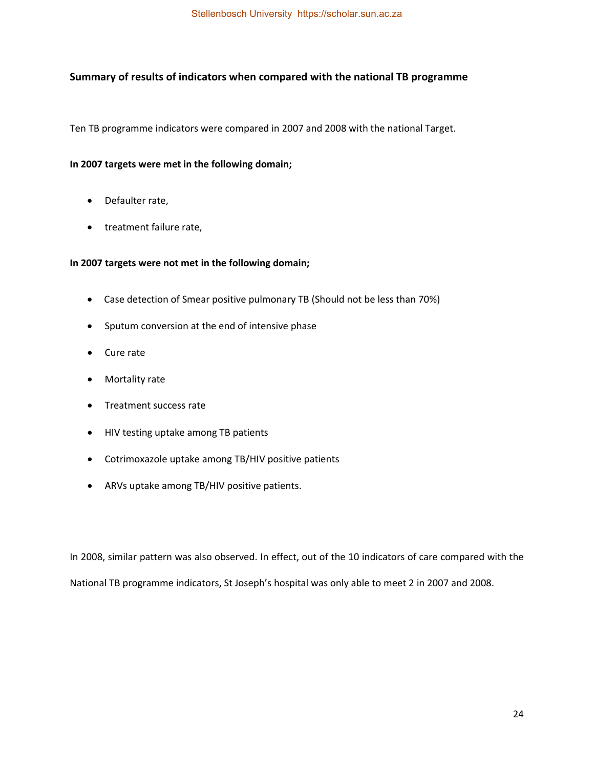## <span id="page-32-0"></span>**Summary of results of indicators when compared with the national TB programme**

Ten TB programme indicators were compared in 2007 and 2008 with the national Target.

#### **In 2007 targets were met in the following domain;**

- Defaulter rate,
- treatment failure rate,

### **In 2007 targets were not met in the following domain;**

- Case detection of Smear positive pulmonary TB (Should not be less than 70%)
- Sputum conversion at the end of intensive phase
- Cure rate
- Mortality rate
- Treatment success rate
- HIV testing uptake among TB patients
- Cotrimoxazole uptake among TB/HIV positive patients
- ARVs uptake among TB/HIV positive patients.

<span id="page-32-1"></span>In 2008, similar pattern was also observed. In effect, out of the 10 indicators of care compared with the National TB programme indicators, St Joseph's hospital was only able to meet 2 in 2007 and 2008.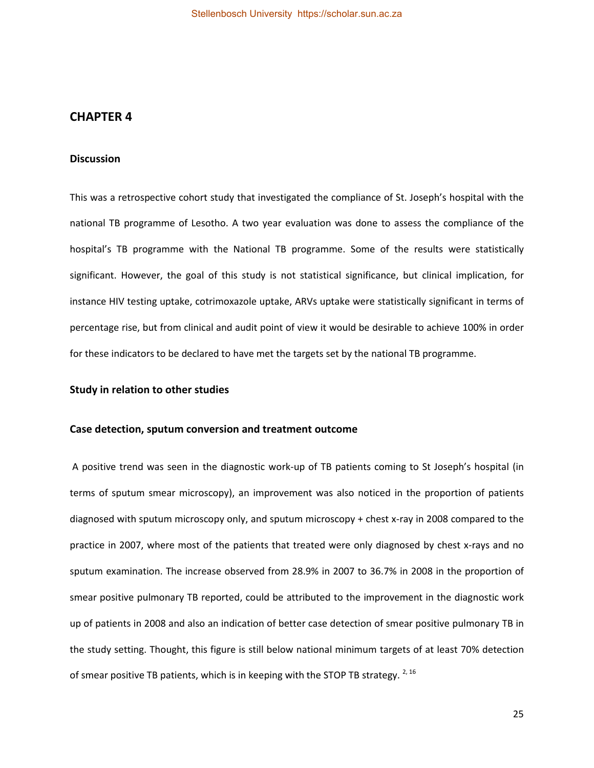# **CHAPTER 4**

### <span id="page-33-0"></span>**Discussion**

This was a retrospective cohort study that investigated the compliance of St. Joseph's hospital with the national TB programme of Lesotho. A two year evaluation was done to assess the compliance of the hospital's TB programme with the National TB programme. Some of the results were statistically significant. However, the goal of this study is not statistical significance, but clinical implication, for instance HIV testing uptake, cotrimoxazole uptake, ARVs uptake were statistically significant in terms of percentage rise, but from clinical and audit point of view it would be desirable to achieve 100% in order for these indicators to be declared to have met the targets set by the national TB programme.

### <span id="page-33-1"></span>**Study in relation to other studies**

#### <span id="page-33-2"></span>**Case detection, sputum conversion and treatment outcome**

 A positive trend was seen in the diagnostic work-up of TB patients coming to St Joseph's hospital (in terms of sputum smear microscopy), an improvement was also noticed in the proportion of patients diagnosed with sputum microscopy only, and sputum microscopy + chest x-ray in 2008 compared to the practice in 2007, where most of the patients that treated were only diagnosed by chest x-rays and no sputum examination. The increase observed from 28.9% in 2007 to 36.7% in 2008 in the proportion of smear positive pulmonary TB reported, could be attributed to the improvement in the diagnostic work up of patients in 2008 and also an indication of better case detection of smear positive pulmonary TB in the study setting. Thought, this figure is still below national minimum targets of at least 70% detection of smear positive TB patients, which is in keeping with the STOP TB strategy.  $^{2, 16}$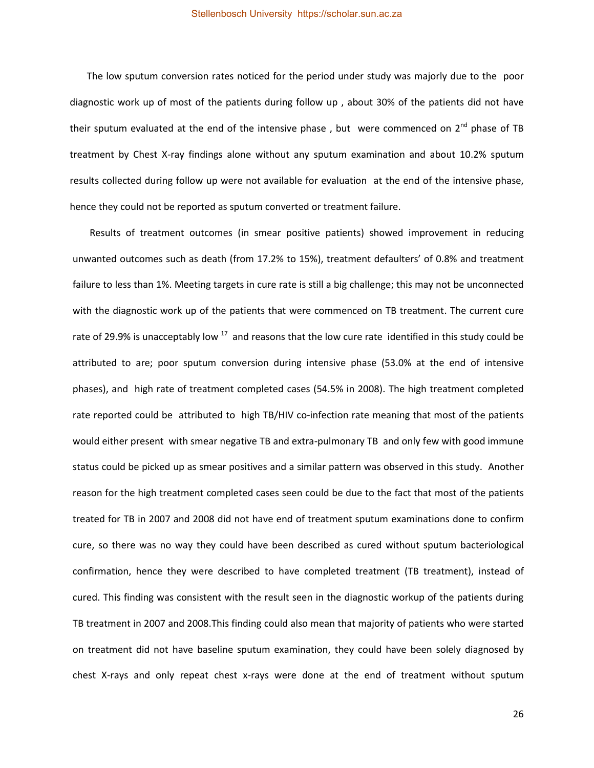#### Stellenbosch University https://scholar.sun.ac.za

 The low sputum conversion rates noticed for the period under study was majorly due to the poor diagnostic work up of most of the patients during follow up , about 30% of the patients did not have their sputum evaluated at the end of the intensive phase, but were commenced on  $2^{nd}$  phase of TB treatment by Chest X-ray findings alone without any sputum examination and about 10.2% sputum results collected during follow up were not available for evaluation at the end of the intensive phase, hence they could not be reported as sputum converted or treatment failure.

 Results of treatment outcomes (in smear positive patients) showed improvement in reducing unwanted outcomes such as death (from 17.2% to 15%), treatment defaulters' of 0.8% and treatment failure to less than 1%. Meeting targets in cure rate is still a big challenge; this may not be unconnected with the diagnostic work up of the patients that were commenced on TB treatment. The current cure rate of 29.9% is unacceptably low  $17$  and reasons that the low cure rate identified in this study could be attributed to are; poor sputum conversion during intensive phase (53.0% at the end of intensive phases), and high rate of treatment completed cases (54.5% in 2008). The high treatment completed rate reported could be attributed to high TB/HIV co-infection rate meaning that most of the patients would either present with smear negative TB and extra-pulmonary TB and only few with good immune status could be picked up as smear positives and a similar pattern was observed in this study. Another reason for the high treatment completed cases seen could be due to the fact that most of the patients treated for TB in 2007 and 2008 did not have end of treatment sputum examinations done to confirm cure, so there was no way they could have been described as cured without sputum bacteriological confirmation, hence they were described to have completed treatment (TB treatment), instead of cured. This finding was consistent with the result seen in the diagnostic workup of the patients during TB treatment in 2007 and 2008.This finding could also mean that majority of patients who were started on treatment did not have baseline sputum examination, they could have been solely diagnosed by chest X-rays and only repeat chest x-rays were done at the end of treatment without sputum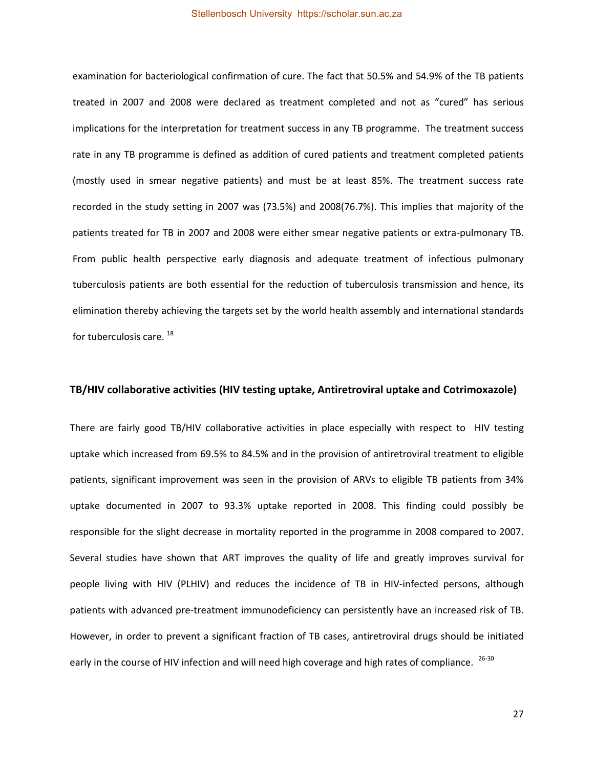examination for bacteriological confirmation of cure. The fact that 50.5% and 54.9% of the TB patients treated in 2007 and 2008 were declared as treatment completed and not as "cured" has serious implications for the interpretation for treatment success in any TB programme. The treatment success rate in any TB programme is defined as addition of cured patients and treatment completed patients (mostly used in smear negative patients) and must be at least 85%. The treatment success rate recorded in the study setting in 2007 was (73.5%) and 2008(76.7%). This implies that majority of the patients treated for TB in 2007 and 2008 were either smear negative patients or extra-pulmonary TB. From public health perspective early diagnosis and adequate treatment of infectious pulmonary tuberculosis patients are both essential for the reduction of tuberculosis transmission and hence, its elimination thereby achieving the targets set by the world health assembly and international standards for tuberculosis care. <sup>18</sup>

#### <span id="page-35-0"></span>**TB/HIV collaborative activities (HIV testing uptake, Antiretroviral uptake and Cotrimoxazole)**

There are fairly good TB/HIV collaborative activities in place especially with respect to HIV testing uptake which increased from 69.5% to 84.5% and in the provision of antiretroviral treatment to eligible patients, significant improvement was seen in the provision of ARVs to eligible TB patients from 34% uptake documented in 2007 to 93.3% uptake reported in 2008. This finding could possibly be responsible for the slight decrease in mortality reported in the programme in 2008 compared to 2007. Several studies have shown that ART improves the quality of life and greatly improves survival for people living with HIV (PLHIV) and reduces the incidence of TB in HIV-infected persons, although patients with advanced pre-treatment immunodeficiency can persistently have an increased risk of TB. However, in order to prevent a significant fraction of TB cases, antiretroviral drugs should be initiated early in the course of HIV infection and will need high coverage and high rates of compliance. <sup>26-30</sup>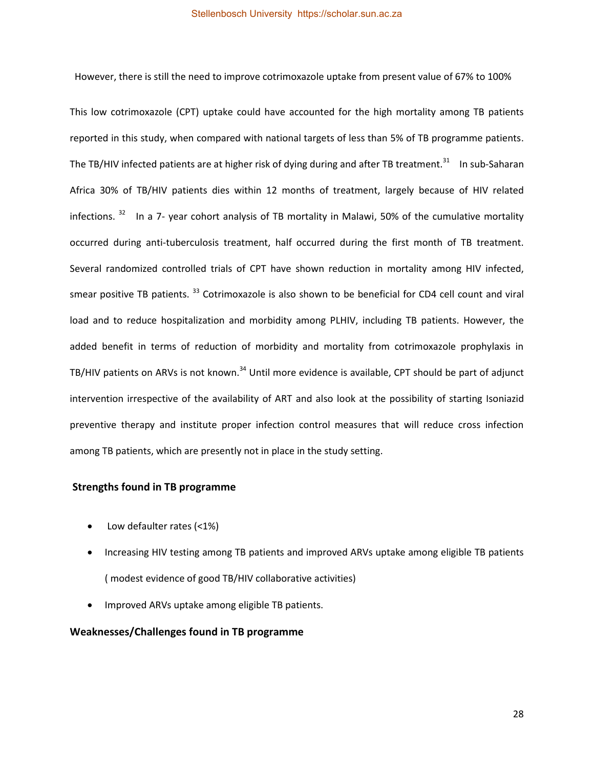However, there is still the need to improve cotrimoxazole uptake from present value of 67% to 100%

This low cotrimoxazole (CPT) uptake could have accounted for the high mortality among TB patients reported in this study, when compared with national targets of less than 5% of TB programme patients. The TB/HIV infected patients are at higher risk of dying during and after TB treatment.<sup>31</sup> In sub-Saharan Africa 30% of TB/HIV patients dies within 12 months of treatment, largely because of HIV related infections. <sup>32</sup> In a 7- year cohort analysis of TB mortality in Malawi, 50% of the cumulative mortality occurred during anti-tuberculosis treatment, half occurred during the first month of TB treatment. Several randomized controlled trials of CPT have shown reduction in mortality among HIV infected, smear positive TB patients.<sup>33</sup> Cotrimoxazole is also shown to be beneficial for CD4 cell count and viral load and to reduce hospitalization and morbidity among PLHIV, including TB patients. However, the added benefit in terms of reduction of morbidity and mortality from cotrimoxazole prophylaxis in TB/HIV patients on ARVs is not known.<sup>34</sup> Until more evidence is available, CPT should be part of adjunct intervention irrespective of the availability of ART and also look at the possibility of starting Isoniazid preventive therapy and institute proper infection control measures that will reduce cross infection among TB patients, which are presently not in place in the study setting.

# <span id="page-36-0"></span> **Strengths found in TB programme**

- Low defaulter rates (<1%)
- Increasing HIV testing among TB patients and improved ARVs uptake among eligible TB patients ( modest evidence of good TB/HIV collaborative activities)
- Improved ARVs uptake among eligible TB patients.

#### <span id="page-36-1"></span>**Weaknesses/Challenges found in TB programme**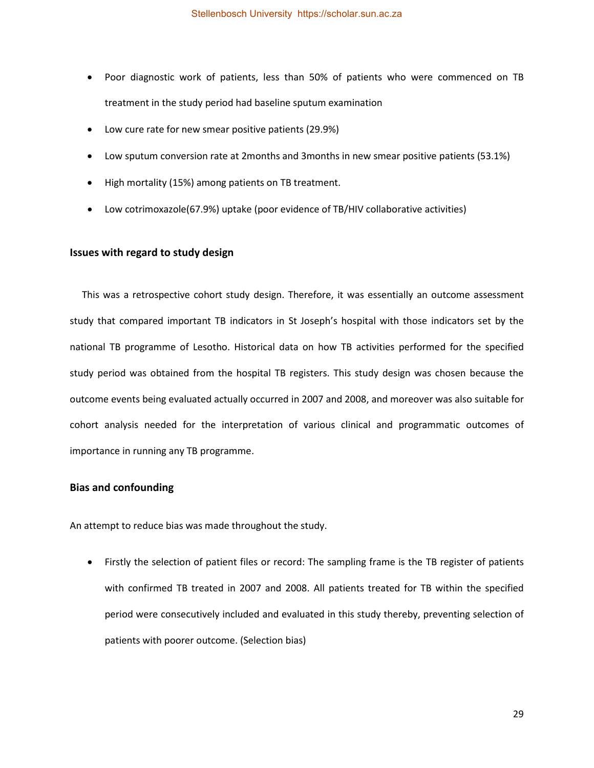- Poor diagnostic work of patients, less than 50% of patients who were commenced on TB treatment in the study period had baseline sputum examination
- Low cure rate for new smear positive patients (29.9%)
- Low sputum conversion rate at 2months and 3months in new smear positive patients (53.1%)
- High mortality (15%) among patients on TB treatment.
- Low cotrimoxazole(67.9%) uptake (poor evidence of TB/HIV collaborative activities)

#### <span id="page-37-0"></span>**Issues with regard to study design**

 This was a retrospective cohort study design. Therefore, it was essentially an outcome assessment study that compared important TB indicators in St Joseph's hospital with those indicators set by the national TB programme of Lesotho. Historical data on how TB activities performed for the specified study period was obtained from the hospital TB registers. This study design was chosen because the outcome events being evaluated actually occurred in 2007 and 2008, and moreover was also suitable for cohort analysis needed for the interpretation of various clinical and programmatic outcomes of importance in running any TB programme.

### <span id="page-37-1"></span>**Bias and confounding**

An attempt to reduce bias was made throughout the study.

• Firstly the selection of patient files or record: The sampling frame is the TB register of patients with confirmed TB treated in 2007 and 2008. All patients treated for TB within the specified period were consecutively included and evaluated in this study thereby, preventing selection of patients with poorer outcome. (Selection bias)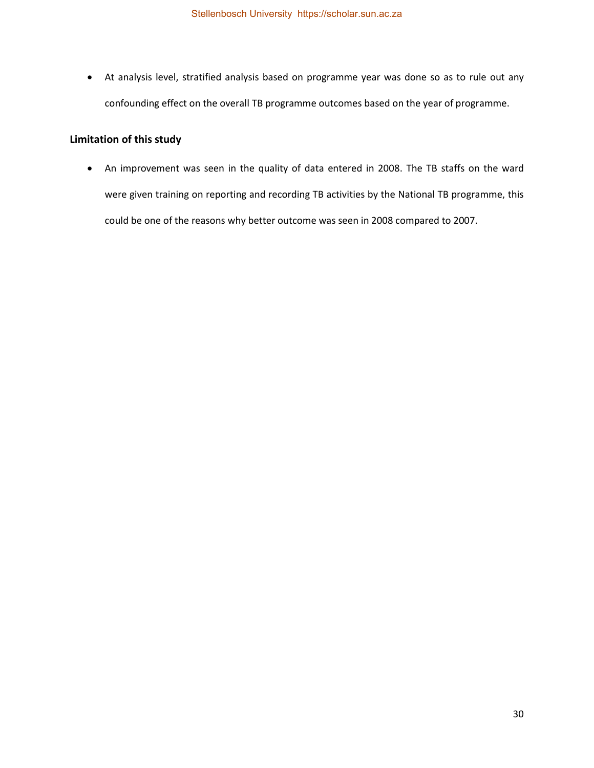At analysis level, stratified analysis based on programme year was done so as to rule out any confounding effect on the overall TB programme outcomes based on the year of programme.

# <span id="page-38-0"></span>**Limitation of this study**

 An improvement was seen in the quality of data entered in 2008. The TB staffs on the ward were given training on reporting and recording TB activities by the National TB programme, this could be one of the reasons why better outcome was seen in 2008 compared to 2007.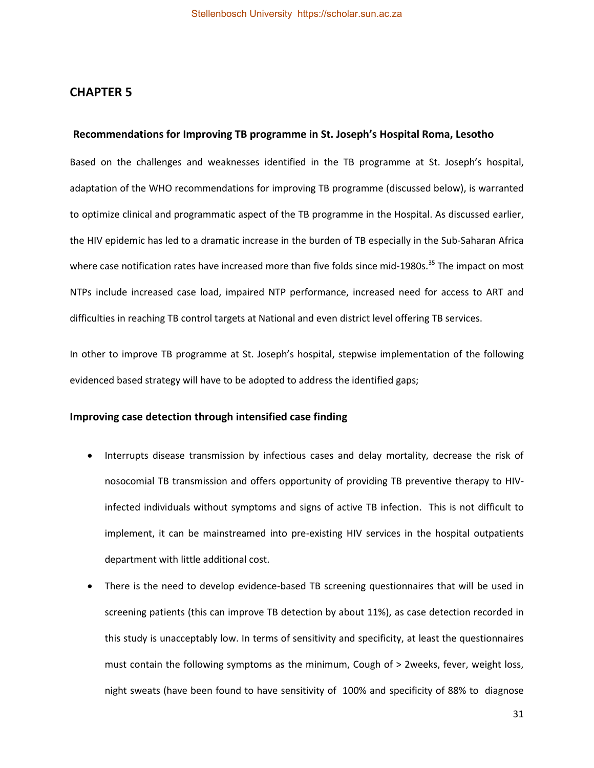# <span id="page-39-0"></span>**CHAPTER 5**

#### <span id="page-39-1"></span>**Recommendations for Improving TB programme in St. Joseph's Hospital Roma, Lesotho**

Based on the challenges and weaknesses identified in the TB programme at St. Joseph's hospital, adaptation of the WHO recommendations for improving TB programme (discussed below), is warranted to optimize clinical and programmatic aspect of the TB programme in the Hospital. As discussed earlier, the HIV epidemic has led to a dramatic increase in the burden of TB especially in the Sub-Saharan Africa where case notification rates have increased more than five folds since mid-1980s.<sup>35</sup> The impact on most NTPs include increased case load, impaired NTP performance, increased need for access to ART and difficulties in reaching TB control targets at National and even district level offering TB services.

In other to improve TB programme at St. Joseph's hospital, stepwise implementation of the following evidenced based strategy will have to be adopted to address the identified gaps;

### <span id="page-39-2"></span>**Improving case detection through intensified case finding**

- Interrupts disease transmission by infectious cases and delay mortality, decrease the risk of nosocomial TB transmission and offers opportunity of providing TB preventive therapy to HIVinfected individuals without symptoms and signs of active TB infection. This is not difficult to implement, it can be mainstreamed into pre-existing HIV services in the hospital outpatients department with little additional cost.
- There is the need to develop evidence-based TB screening questionnaires that will be used in screening patients (this can improve TB detection by about 11%), as case detection recorded in this study is unacceptably low. In terms of sensitivity and specificity, at least the questionnaires must contain the following symptoms as the minimum, Cough of > 2weeks, fever, weight loss, night sweats (have been found to have sensitivity of 100% and specificity of 88% to diagnose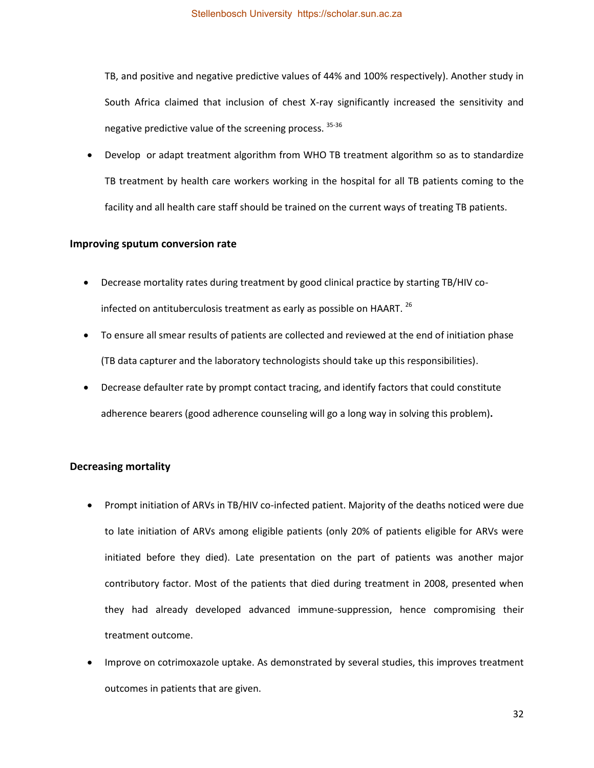TB, and positive and negative predictive values of 44% and 100% respectively). Another study in South Africa claimed that inclusion of chest X-ray significantly increased the sensitivity and negative predictive value of the screening process.  $35-36$ 

 Develop or adapt treatment algorithm from WHO TB treatment algorithm so as to standardize TB treatment by health care workers working in the hospital for all TB patients coming to the facility and all health care staff should be trained on the current ways of treating TB patients.

#### <span id="page-40-0"></span>**Improving sputum conversion rate**

- Decrease mortality rates during treatment by good clinical practice by starting TB/HIV coinfected on antituberculosis treatment as early as possible on HAART.  $^{26}$
- To ensure all smear results of patients are collected and reviewed at the end of initiation phase (TB data capturer and the laboratory technologists should take up this responsibilities).
- Decrease defaulter rate by prompt contact tracing, and identify factors that could constitute adherence bearers (good adherence counseling will go a long way in solving this problem)**.**

#### <span id="page-40-1"></span>**Decreasing mortality**

- Prompt initiation of ARVs in TB/HIV co-infected patient. Majority of the deaths noticed were due to late initiation of ARVs among eligible patients (only 20% of patients eligible for ARVs were initiated before they died). Late presentation on the part of patients was another major contributory factor. Most of the patients that died during treatment in 2008, presented when they had already developed advanced immune-suppression, hence compromising their treatment outcome.
- Improve on cotrimoxazole uptake. As demonstrated by several studies, this improves treatment outcomes in patients that are given.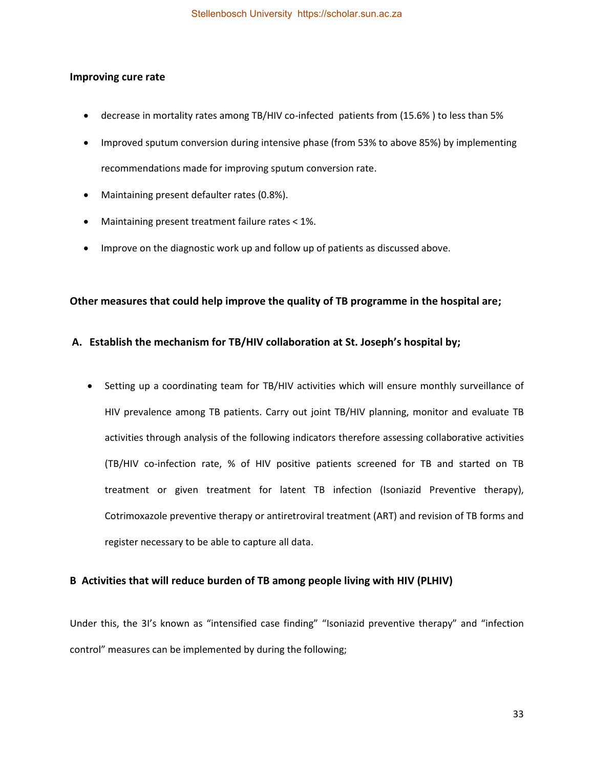### <span id="page-41-0"></span>**Improving cure rate**

- decrease in mortality rates among TB/HIV co-infected patients from (15.6% ) to less than 5%
- Improved sputum conversion during intensive phase (from 53% to above 85%) by implementing recommendations made for improving sputum conversion rate.
- Maintaining present defaulter rates (0.8%).
- Maintaining present treatment failure rates < 1%.
- Improve on the diagnostic work up and follow up of patients as discussed above.

### <span id="page-41-1"></span>**Other measures that could help improve the quality of TB programme in the hospital are;**

### <span id="page-41-2"></span>**A. Establish the mechanism for TB/HIV collaboration at St. Joseph's hospital by;**

 Setting up a coordinating team for TB/HIV activities which will ensure monthly surveillance of HIV prevalence among TB patients. Carry out joint TB/HIV planning, monitor and evaluate TB activities through analysis of the following indicators therefore assessing collaborative activities (TB/HIV co-infection rate, % of HIV positive patients screened for TB and started on TB treatment or given treatment for latent TB infection (Isoniazid Preventive therapy), Cotrimoxazole preventive therapy or antiretroviral treatment (ART) and revision of TB forms and register necessary to be able to capture all data.

### <span id="page-41-3"></span>**B Activities that will reduce burden of TB among people living with HIV (PLHIV)**

Under this, the 3I's known as "intensified case finding" "Isoniazid preventive therapy" and "infection control" measures can be implemented by during the following;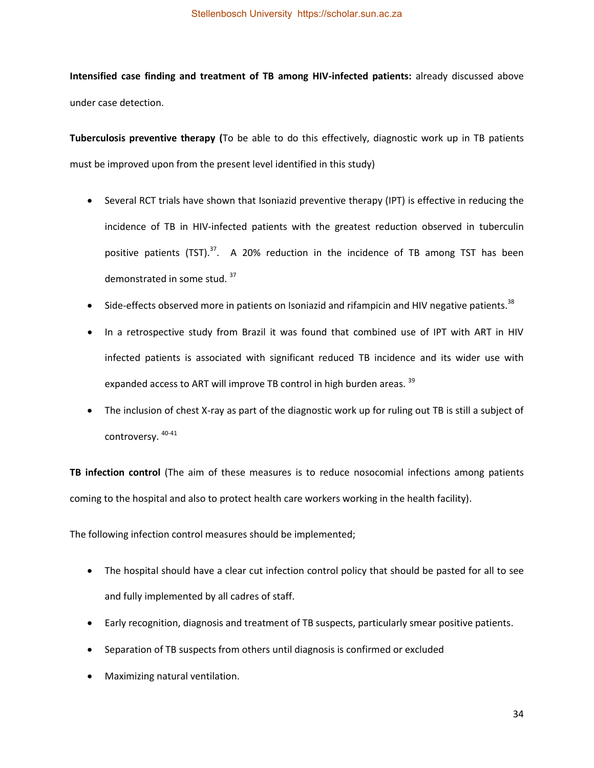**Intensified case finding and treatment of TB among HIV-infected patients:** already discussed above under case detection.

**Tuberculosis preventive therapy (**To be able to do this effectively, diagnostic work up in TB patients must be improved upon from the present level identified in this study)

- Several RCT trials have shown that Isoniazid preventive therapy (IPT) is effective in reducing the incidence of TB in HIV-infected patients with the greatest reduction observed in tuberculin positive patients  $(TST)$ .<sup>37</sup>. A 20% reduction in the incidence of TB among TST has been demonstrated in some stud. <sup>37</sup>
- Side-effects observed more in patients on Isoniazid and rifampicin and HIV negative patients.<sup>38</sup>
- In a retrospective study from Brazil it was found that combined use of IPT with ART in HIV infected patients is associated with significant reduced TB incidence and its wider use with expanded access to ART will improve TB control in high burden areas. 39
- The inclusion of chest X-ray as part of the diagnostic work up for ruling out TB is still a subject of controversy. 40-41

**TB infection control** (The aim of these measures is to reduce nosocomial infections among patients coming to the hospital and also to protect health care workers working in the health facility).

The following infection control measures should be implemented;

- The hospital should have a clear cut infection control policy that should be pasted for all to see and fully implemented by all cadres of staff.
- Early recognition, diagnosis and treatment of TB suspects, particularly smear positive patients.
- Separation of TB suspects from others until diagnosis is confirmed or excluded
- Maximizing natural ventilation.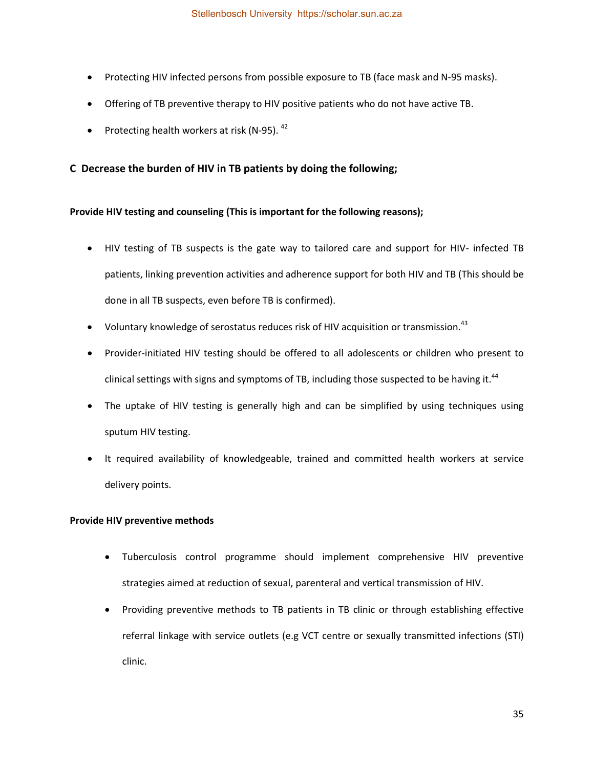- Protecting HIV infected persons from possible exposure to TB (face mask and N-95 masks).
- Offering of TB preventive therapy to HIV positive patients who do not have active TB.
- Protecting health workers at risk (N-95).  $42$

## <span id="page-43-0"></span>**C Decrease the burden of HIV in TB patients by doing the following;**

### **Provide HIV testing and counseling (This is important for the following reasons);**

- HIV testing of TB suspects is the gate way to tailored care and support for HIV- infected TB patients, linking prevention activities and adherence support for both HIV and TB (This should be done in all TB suspects, even before TB is confirmed).
- $\bullet$  Voluntary knowledge of serostatus reduces risk of HIV acquisition or transmission.<sup>43</sup>
- Provider-initiated HIV testing should be offered to all adolescents or children who present to clinical settings with signs and symptoms of TB, including those suspected to be having it.<sup>44</sup>
- The uptake of HIV testing is generally high and can be simplified by using techniques using sputum HIV testing.
- It required availability of knowledgeable, trained and committed health workers at service delivery points.

#### **Provide HIV preventive methods**

- Tuberculosis control programme should implement comprehensive HIV preventive strategies aimed at reduction of sexual, parenteral and vertical transmission of HIV.
- Providing preventive methods to TB patients in TB clinic or through establishing effective referral linkage with service outlets (e.g VCT centre or sexually transmitted infections (STI) clinic.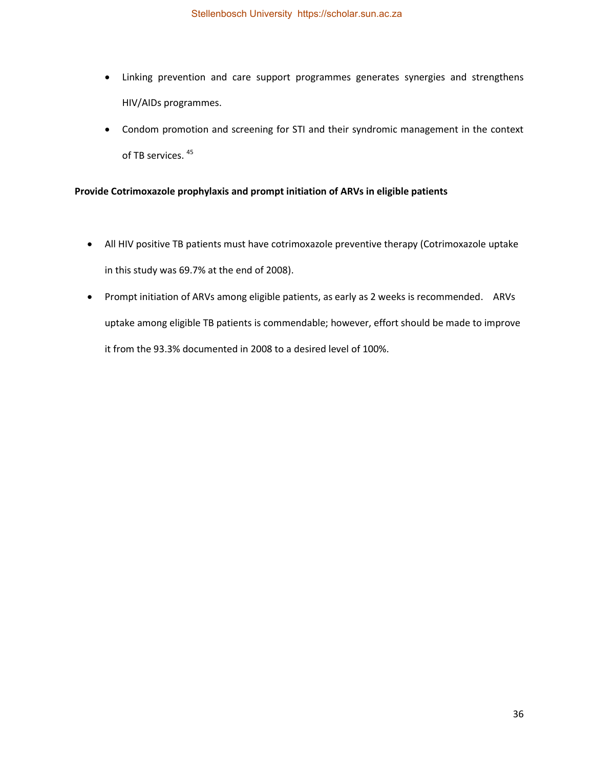- Linking prevention and care support programmes generates synergies and strengthens HIV/AIDs programmes.
- Condom promotion and screening for STI and their syndromic management in the context of TB services.<sup>45</sup>

### **Provide Cotrimoxazole prophylaxis and prompt initiation of ARVs in eligible patients**

- All HIV positive TB patients must have cotrimoxazole preventive therapy (Cotrimoxazole uptake in this study was 69.7% at the end of 2008).
- Prompt initiation of ARVs among eligible patients, as early as 2 weeks is recommended. ARVs uptake among eligible TB patients is commendable; however, effort should be made to improve it from the 93.3% documented in 2008 to a desired level of 100%.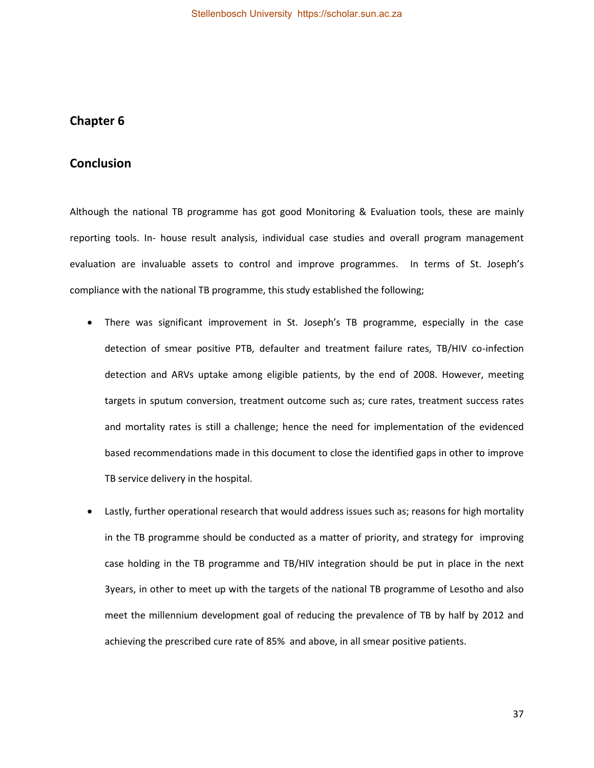# <span id="page-45-1"></span><span id="page-45-0"></span>**Chapter 6**

# **Conclusion**

Although the national TB programme has got good Monitoring & Evaluation tools, these are mainly reporting tools. In- house result analysis, individual case studies and overall program management evaluation are invaluable assets to control and improve programmes. In terms of St. Joseph's compliance with the national TB programme, this study established the following;

- There was significant improvement in St. Joseph's TB programme, especially in the case detection of smear positive PTB, defaulter and treatment failure rates, TB/HIV co-infection detection and ARVs uptake among eligible patients, by the end of 2008. However, meeting targets in sputum conversion, treatment outcome such as; cure rates, treatment success rates and mortality rates is still a challenge; hence the need for implementation of the evidenced based recommendations made in this document to close the identified gaps in other to improve TB service delivery in the hospital.
- Lastly, further operational research that would address issues such as; reasons for high mortality in the TB programme should be conducted as a matter of priority, and strategy for improving case holding in the TB programme and TB/HIV integration should be put in place in the next 3years, in other to meet up with the targets of the national TB programme of Lesotho and also meet the millennium development goal of reducing the prevalence of TB by half by 2012 and achieving the prescribed cure rate of 85% and above, in all smear positive patients.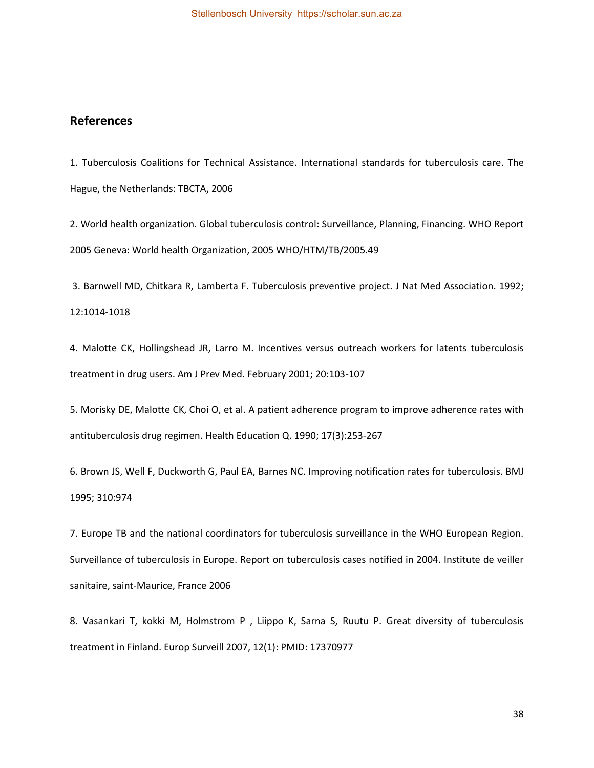# <span id="page-46-0"></span>**References**

1. Tuberculosis Coalitions for Technical Assistance. International standards for tuberculosis care. The Hague, the Netherlands: TBCTA, 2006

2. World health organization. Global tuberculosis control: Surveillance, Planning, Financing. WHO Report 2005 Geneva: World health Organization, 2005 WHO/HTM/TB/2005.49

 3. Barnwell MD, Chitkara R, Lamberta F. Tuberculosis preventive project. J Nat Med Association. 1992; 12:1014-1018

4. Malotte CK, Hollingshead JR, Larro M. Incentives versus outreach workers for latents tuberculosis treatment in drug users. Am J Prev Med. February 2001; 20:103-107

5. Morisky DE, Malotte CK, Choi O, et al. A patient adherence program to improve adherence rates with antituberculosis drug regimen. Health Education Q. 1990; 17(3):253-267

6. Brown JS, Well F, Duckworth G, Paul EA, Barnes NC. Improving notification rates for tuberculosis. BMJ 1995; 310:974

7. Europe TB and the national coordinators for tuberculosis surveillance in the WHO European Region. Surveillance of tuberculosis in Europe. Report on tuberculosis cases notified in 2004. Institute de veiller sanitaire, saint-Maurice, France 2006

8. Vasankari T, kokki M, Holmstrom P , Liippo K, Sarna S, Ruutu P. Great diversity of tuberculosis treatment in Finland. Europ Surveill 2007, 12(1): PMID: 17370977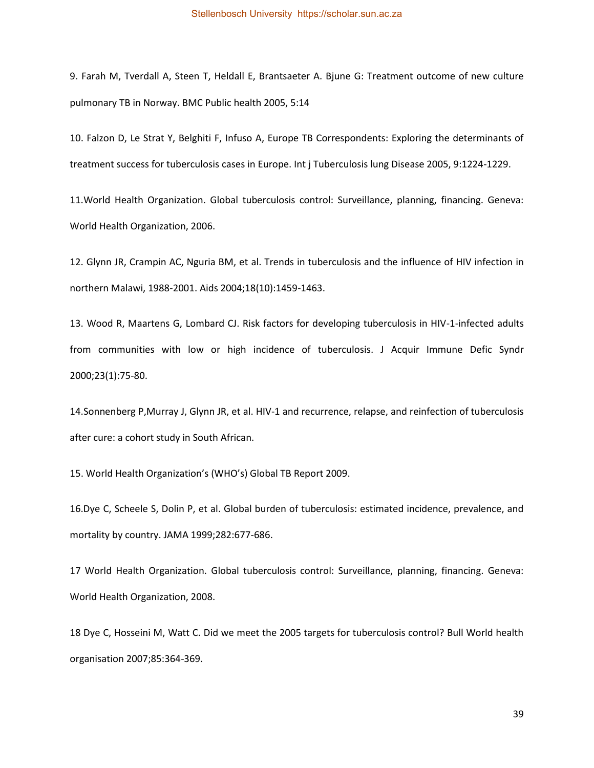9. Farah M, Tverdall A, Steen T, Heldall E, Brantsaeter A. Bjune G: Treatment outcome of new culture pulmonary TB in Norway. BMC Public health 2005, 5:14

10. Falzon D, Le Strat Y, Belghiti F, Infuso A, Europe TB Correspondents: Exploring the determinants of treatment success for tuberculosis cases in Europe. Int j Tuberculosis lung Disease 2005, 9:1224-1229.

11.World Health Organization. Global tuberculosis control: Surveillance, planning, financing. Geneva: World Health Organization, 2006.

12. Glynn JR, Crampin AC, Nguria BM, et al. Trends in tuberculosis and the influence of HIV infection in northern Malawi, 1988-2001. Aids 2004;18(10):1459-1463.

13. Wood R, Maartens G, Lombard CJ. Risk factors for developing tuberculosis in HIV-1-infected adults from communities with low or high incidence of tuberculosis. J Acquir Immune Defic Syndr 2000;23(1):75-80.

14.Sonnenberg P,Murray J, Glynn JR, et al. HIV-1 and recurrence, relapse, and reinfection of tuberculosis after cure: a cohort study in South African.

15. World Health Organization's (WHO's) Global TB Report 2009.

16.Dye C, Scheele S, Dolin P, et al. Global burden of tuberculosis: estimated incidence, prevalence, and mortality by country. JAMA 1999;282:677-686.

17 World Health Organization. Global tuberculosis control: Surveillance, planning, financing. Geneva: World Health Organization, 2008.

18 Dye C, Hosseini M, Watt C. Did we meet the 2005 targets for tuberculosis control? Bull World health organisation 2007;85:364-369.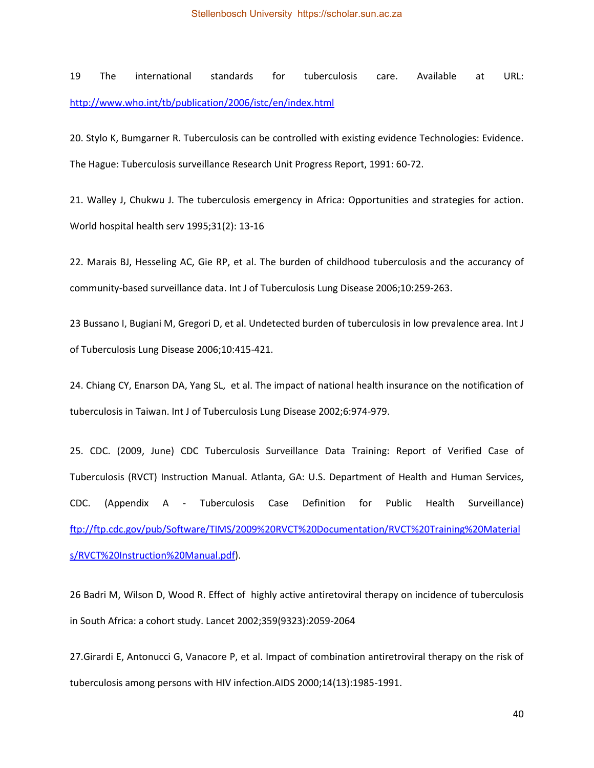19 The international standards for tuberculosis care. Available at URL: <http://www.who.int/tb/publication/2006/istc/en/index.html>

20. Stylo K, Bumgarner R. Tuberculosis can be controlled with existing evidence Technologies: Evidence. The Hague: Tuberculosis surveillance Research Unit Progress Report, 1991: 60-72.

21. Walley J, Chukwu J. The tuberculosis emergency in Africa: Opportunities and strategies for action. World hospital health serv 1995;31(2): 13-16

22. Marais BJ, Hesseling AC, Gie RP, et al. The burden of childhood tuberculosis and the accurancy of community-based surveillance data. Int J of Tuberculosis Lung Disease 2006;10:259-263.

23 Bussano I, Bugiani M, Gregori D, et al. Undetected burden of tuberculosis in low prevalence area. Int J of Tuberculosis Lung Disease 2006;10:415-421.

24. Chiang CY, Enarson DA, Yang SL, et al. The impact of national health insurance on the notification of tuberculosis in Taiwan. Int J of Tuberculosis Lung Disease 2002;6:974-979.

25. CDC. (2009, June) CDC Tuberculosis Surveillance Data Training: Report of Verified Case of Tuberculosis (RVCT) Instruction Manual. Atlanta, GA: U.S. Department of Health and Human Services, CDC. (Appendix A - Tuberculosis Case Definition for Public Health Surveillance) [ftp://ftp.cdc.gov/pub/Software/TIMS/2009%20RVCT%20Documentation/RVCT%20Training%20Material](ftp://ftp.cdc.gov/pub/Software/TIMS/2009 RVCT Documentation/RVCT Training Materials/RVCT Instruction Manual.pdf) [s/RVCT%20Instruction%20Manual.pdf\)](ftp://ftp.cdc.gov/pub/Software/TIMS/2009 RVCT Documentation/RVCT Training Materials/RVCT Instruction Manual.pdf).

26 Badri M, Wilson D, Wood R. Effect of highly active antiretoviral therapy on incidence of tuberculosis in South Africa: a cohort study. Lancet 2002;359(9323):2059-2064

27.Girardi E, Antonucci G, Vanacore P, et al. Impact of combination antiretroviral therapy on the risk of tuberculosis among persons with HIV infection.AIDS 2000;14(13):1985-1991.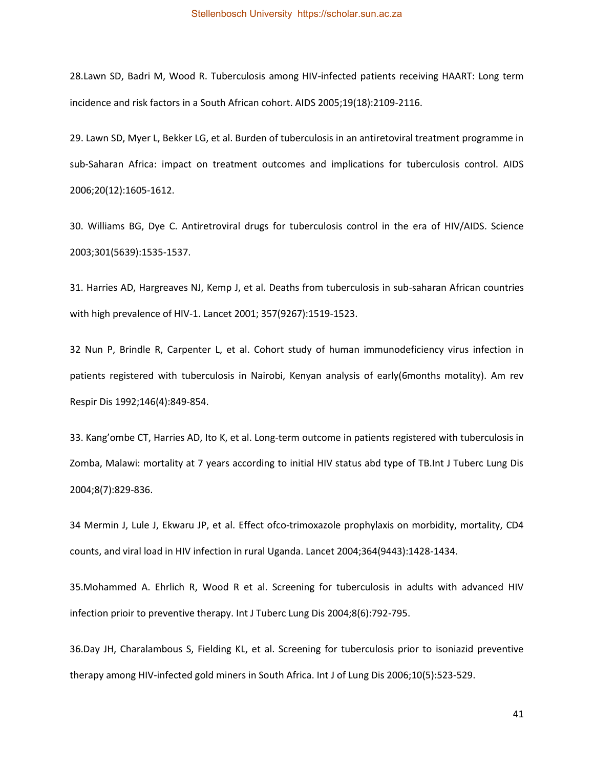28.Lawn SD, Badri M, Wood R. Tuberculosis among HIV-infected patients receiving HAART: Long term incidence and risk factors in a South African cohort. AIDS 2005;19(18):2109-2116.

29. Lawn SD, Myer L, Bekker LG, et al. Burden of tuberculosis in an antiretoviral treatment programme in sub-Saharan Africa: impact on treatment outcomes and implications for tuberculosis control. AIDS 2006;20(12):1605-1612.

30. Williams BG, Dye C. Antiretroviral drugs for tuberculosis control in the era of HIV/AIDS. Science 2003;301(5639):1535-1537.

31. Harries AD, Hargreaves NJ, Kemp J, et al. Deaths from tuberculosis in sub-saharan African countries with high prevalence of HIV-1. Lancet 2001; 357(9267):1519-1523.

32 Nun P, Brindle R, Carpenter L, et al. Cohort study of human immunodeficiency virus infection in patients registered with tuberculosis in Nairobi, Kenyan analysis of early(6months motality). Am rev Respir Dis 1992;146(4):849-854.

33. Kang'ombe CT, Harries AD, Ito K, et al. Long-term outcome in patients registered with tuberculosis in Zomba, Malawi: mortality at 7 years according to initial HIV status abd type of TB.Int J Tuberc Lung Dis 2004;8(7):829-836.

34 Mermin J, Lule J, Ekwaru JP, et al. Effect ofco-trimoxazole prophylaxis on morbidity, mortality, CD4 counts, and viral load in HIV infection in rural Uganda. Lancet 2004;364(9443):1428-1434.

35.Mohammed A. Ehrlich R, Wood R et al. Screening for tuberculosis in adults with advanced HIV infection prioir to preventive therapy. Int J Tuberc Lung Dis 2004;8(6):792-795.

36.Day JH, Charalambous S, Fielding KL, et al. Screening for tuberculosis prior to isoniazid preventive therapy among HIV-infected gold miners in South Africa. Int J of Lung Dis 2006;10(5):523-529.